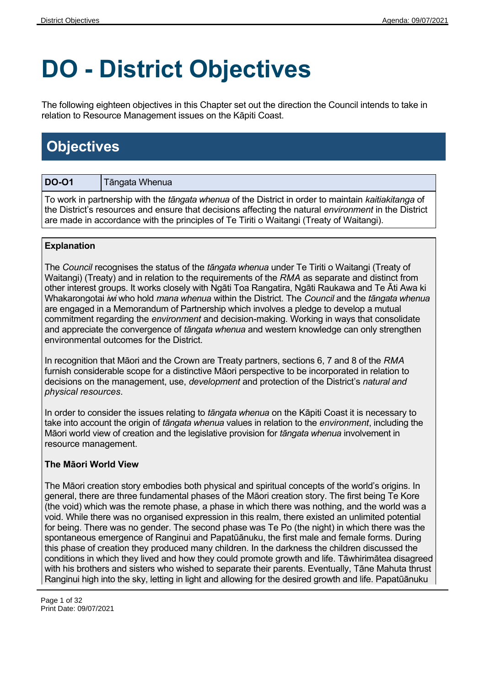# **DO - District Objectives**

The following eighteen objectives in this Chapter set out the direction the Council intends to take in relation to Resource Management issues on the Kāpiti Coast.

## **Objectives**

| <b>DO-01</b>                                                                                                       | Tāngata Whenua |  |
|--------------------------------------------------------------------------------------------------------------------|----------------|--|
| To work in partnership with the <i>tāngata whenua</i> of the District in order to maintain <i>kaitiakitanga</i> of |                |  |
| the District's resources and ensure that decisions affecting the natural <i>environment</i> in the District        |                |  |

are made in accordance with the principles of Te Tiriti o Waitangi (Treaty of Waitangi).

#### **Explanation**

The *Council* recognises the status of the *tāngata whenua* under Te Tiriti o Waitangi (Treaty of Waitangi) (Treaty) and in relation to the requirements of the *RMA* as separate and distinct from other interest groups. It works closely with Ngāti Toa Rangatira, Ngāti Raukawa and Te Āti Awa ki Whakarongotai *iwi* who hold *mana whenua* within the District. The *Council* and the *tāngata whenua* are engaged in a Memorandum of Partnership which involves a pledge to develop a mutual commitment regarding the *environment* and decision-making. Working in ways that consolidate and appreciate the convergence of *tāngata whenua* and western knowledge can only strengthen environmental outcomes for the District.

In recognition that Māori and the Crown are Treaty partners, sections 6, 7 and 8 of the *RMA* furnish considerable scope for a distinctive Māori perspective to be incorporated in relation to decisions on the management, use, *development* and protection of the District's *natural and physical resources*.

In order to consider the issues relating to *tāngata whenua* on the Kāpiti Coast it is necessary to take into account the origin of *tāngata whenua* values in relation to the *environment*, including the Māori world view of creation and the legislative provision for *tāngata whenua* involvement in resource management.

#### **The Māori World View**

The Māori creation story embodies both physical and spiritual concepts of the world's origins. In general, there are three fundamental phases of the Māori creation story. The first being Te Kore (the void) which was the remote phase, a phase in which there was nothing, and the world was a void. While there was no organised expression in this realm, there existed an unlimited potential for being. There was no gender. The second phase was Te Po (the night) in which there was the spontaneous emergence of Ranginui and Papatūānuku, the first male and female forms. During this phase of creation they produced many children. In the darkness the children discussed the conditions in which they lived and how they could promote growth and life. Tāwhirimātea disagreed with his brothers and sisters who wished to separate their parents. Eventually, Tāne Mahuta thrust Ranginui high into the sky, letting in light and allowing for the desired growth and life. Papatūānuku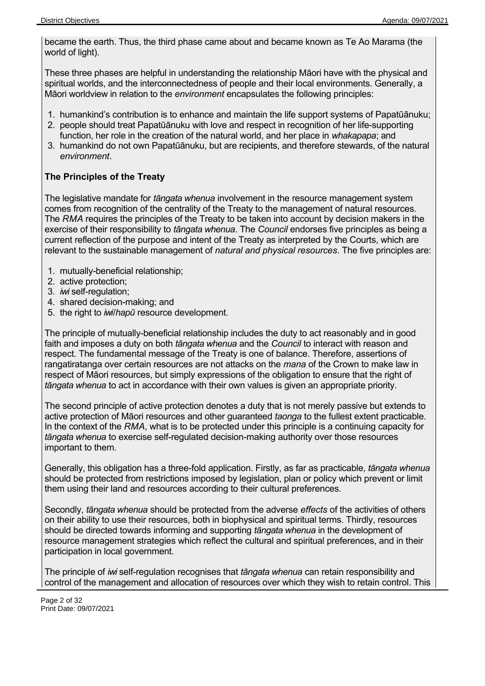became the earth. Thus, the third phase came about and became known as Te Ao Marama (the world of light).

These three phases are helpful in understanding the relationship Māori have with the physical and spiritual worlds, and the interconnectedness of people and their local environments. Generally, a Māori worldview in relation to the *environment* encapsulates the following principles:

- 1. humankind's contribution is to enhance and maintain the life support systems of Papatūānuku;
- 2. people should treat Papatūānuku with love and respect in recognition of her life-supporting function, her role in the creation of the natural world, and her place in *whakapapa*; and
- 3. humankind do not own Papatūānuku, but are recipients, and therefore stewards, of the natural *environment*.

#### **The Principles of the Treaty**

The legislative mandate for *tāngata whenua* involvement in the resource management system comes from recognition of the centrality of the Treaty to the management of natural resources. The *RMA* requires the principles of the Treaty to be taken into account by decision makers in the exercise of their responsibility to *tāngata whenua*. The *Council* endorses five principles as being a current reflection of the purpose and intent of the Treaty as interpreted by the Courts, which are relevant to the sustainable management of *natural and physical resources*. The five principles are:

- 1. mutually-beneficial relationship;
- 2. active protection;
- 3. *iwi* self-regulation;
- 4. shared decision-making; and
- 5. the right to *iwi*/*hapū* resource development.

The principle of mutually-beneficial relationship includes the duty to act reasonably and in good faith and imposes a duty on both *tāngata whenua* and the *Council* to interact with reason and respect. The fundamental message of the Treaty is one of balance. Therefore, assertions of rangatiratanga over certain resources are not attacks on the *mana* of the Crown to make law in respect of Māori resources, but simply expressions of the obligation to ensure that the right of *tāngata whenua* to act in accordance with their own values is given an appropriate priority.

The second principle of active protection denotes a duty that is not merely passive but extends to active protection of Māori resources and other guaranteed *taonga* to the fullest extent practicable. In the context of the *RMA*, what is to be protected under this principle is a continuing capacity for *tāngata whenua* to exercise self-regulated decision-making authority over those resources important to them.

Generally, this obligation has a three-fold application. Firstly, as far as practicable*, tāngata whenua* should be protected from restrictions imposed by legislation, plan or policy which prevent or limit them using their land and resources according to their cultural preferences.

Secondly, *tāngata whenua* should be protected from the adverse *effects* of the activities of others on their ability to use their resources, both in biophysical and spiritual terms. Thirdly, resources should be directed towards informing and supporting *tāngata whenua* in the development of resource management strategies which reflect the cultural and spiritual preferences, and in their participation in local government.

The principle of *iwi* self-regulation recognises that *tāngata whenua* can retain responsibility and control of the management and allocation of resources over which they wish to retain control. This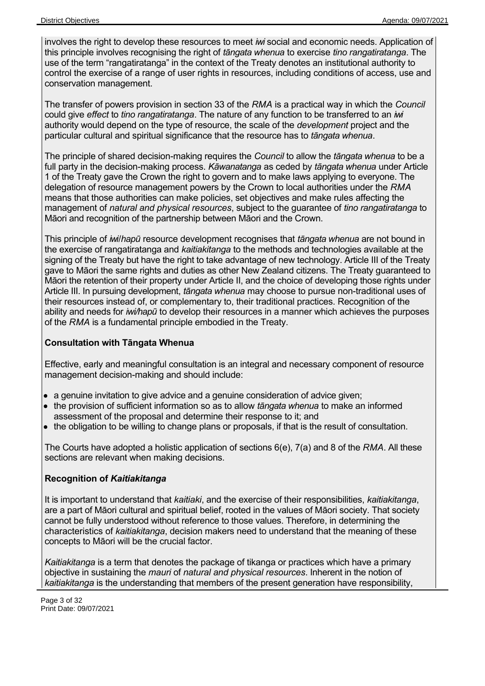involves the right to develop these resources to meet *iwi* social and economic needs. Application of this principle involves recognising the right of *tāngata whenua* to exercise *tino rangatiratanga*. The use of the term "rangatiratanga" in the context of the Treaty denotes an institutional authority to control the exercise of a range of user rights in resources, including conditions of access, use and conservation management.

The transfer of powers provision in section 33 of the *RMA* is a practical way in which the *Council* could give *effect* to *tino rangatiratanga*. The nature of any function to be transferred to an *iwi* authority would depend on the type of resource, the scale of the *development* project and the particular cultural and spiritual significance that the resource has to *tāngata whenua*.

The principle of shared decision-making requires the *Council* to allow the *tāngata whenua* to be a full party in the decision-making process. *Kāwanatanga* as ceded by *tāngata whenua* under Article 1 of the Treaty gave the Crown the right to govern and to make laws applying to everyone. The delegation of resource management powers by the Crown to local authorities under the *RMA* means that those authorities can make policies, set objectives and make rules affecting the management of *natural and physical resources*, subject to the guarantee of *tino rangatiratanga* to Māori and recognition of the partnership between Māori and the Crown.

This principle of *iwi*/*hapū* resource development recognises that *tāngata whenua* are not bound in the exercise of rangatiratanga and *kaitiakitanga* to the methods and technologies available at the signing of the Treaty but have the right to take advantage of new technology. Article III of the Treaty gave to Māori the same rights and duties as other New Zealand citizens. The Treaty guaranteed to Māori the retention of their property under Article II, and the choice of developing those rights under Article III. In pursuing development, *tāngata whenua* may choose to pursue non-traditional uses of their resources instead of, or complementary to, their traditional practices. Recognition of the ability and needs for *iwi/hapū* to develop their resources in a manner which achieves the purposes of the *RMA* is a fundamental principle embodied in the Treaty.

#### **Consultation with Tāngata Whenua**

Effective, early and meaningful consultation is an integral and necessary component of resource management decision-making and should include:

- a genuine invitation to give advice and a genuine consideration of advice given;
- the provision of sufficient information so as to allow *tāngata whenua* to make an informed assessment of the proposal and determine their response to it; and
- the obligation to be willing to change plans or proposals, if that is the result of consultation.

The Courts have adopted a holistic application of sections 6(e), 7(a) and 8 of the *RMA*. All these sections are relevant when making decisions.

#### **Recognition of** *Kaitiakitanga*

It is important to understand that *kaitiaki*, and the exercise of their responsibilities, *kaitiakitanga*, are a part of Māori cultural and spiritual belief, rooted in the values of Māori society. That society cannot be fully understood without reference to those values. Therefore, in determining the characteristics of *kaitiakitanga*, decision makers need to understand that the meaning of these concepts to Māori will be the crucial factor.

*Kaitiakitanga* is a term that denotes the package of tikanga or practices which have a primary objective in sustaining the *mauri* of *natural and physical resources*. Inherent in the notion of *kaitiakitanga* is the understanding that members of the present generation have responsibility,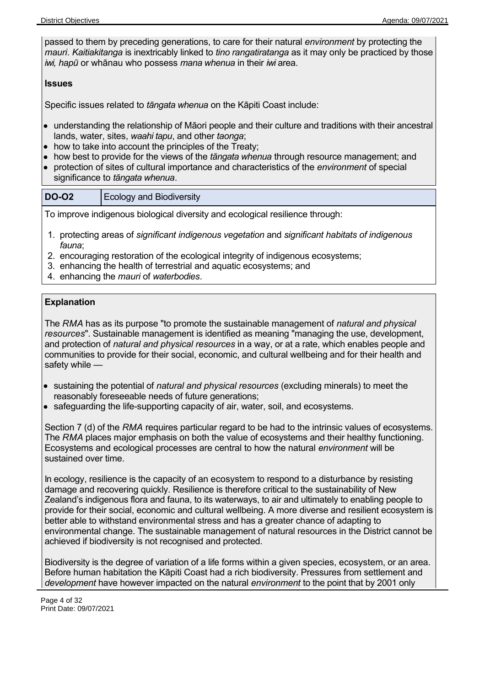passed to them by preceding generations, to care for their natural *environment* by protecting the *mauri*. *Kaitiakitanga* is inextricably linked to *tino rangatiratanga* as it may only be practiced by those *iwi, hapū* or whānau who possess *mana whenua* in their *iwi* area.

#### **Issues**

Specific issues related to *tāngata whenua* on the Kāpiti Coast include:

- understanding the relationship of Māori people and their culture and traditions with their ancestral lands, water, sites, *waahi tapu*, and other *taonga*;
- how to take into account the principles of the Treaty;
- how best to provide for the views of the *tāngata whenua* through resource management; and
- protection of sites of cultural importance and characteristics of the *environment* of special significance to *tāngata whenua*.

| <b>DO-02</b> | Ecology and Biodiversity |
|--------------|--------------------------|
|--------------|--------------------------|

To improve indigenous biological diversity and ecological resilience through:

- 1. protecting areas of *significant indigenous vegetation* and *significant habitats of indigenous fauna*;
- 2. encouraging restoration of the ecological integrity of indigenous ecosystems;
- 3. enhancing the health of terrestrial and aquatic ecosystems; and
- 4. enhancing the *mauri* of *waterbodies*.

#### **Explanation**

The *RMA* has as its purpose "to promote the sustainable management of *natural and physical resources*". Sustainable management is identified as meaning "managing the use, development, and protection of *natural and physical resources* in a way, or at a rate, which enables people and communities to provide for their social, economic, and cultural wellbeing and for their health and safety while —

- sustaining the potential of *natural and physical resources* (excluding minerals) to meet the reasonably foreseeable needs of future generations;
- safeguarding the life-supporting capacity of air, water, soil, and ecosystems.

Section 7 (d) of the *RMA* requires particular regard to be had to the intrinsic values of ecosystems. The *RMA* places major emphasis on both the value of ecosystems and their healthy functioning. Ecosystems and ecological processes are central to how the natural *environment* will be sustained over time.

In ecology, resilience is the capacity of an ecosystem to respond to a disturbance by resisting damage and recovering quickly. Resilience is therefore critical to the sustainability of New Zealand's indigenous flora and fauna, to its waterways, to air and ultimately to enabling people to provide for their social, economic and cultural wellbeing. A more diverse and resilient ecosystem is better able to withstand environmental stress and has a greater chance of adapting to environmental change. The sustainable management of natural resources in the District cannot be achieved if biodiversity is not recognised and protected.

Biodiversity is the degree of variation of a life forms within a given species, ecosystem, or an area. Before human habitation the Kāpiti Coast had a rich biodiversity. Pressures from settlement and *development* have however impacted on the natural *environment* to the point that by 2001 only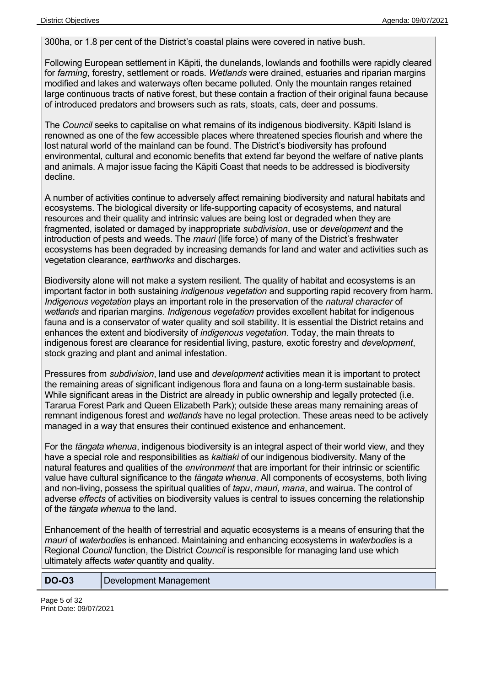300ha, or 1.8 per cent of the District's coastal plains were covered in native bush.

Following European settlement in Kāpiti, the dunelands, lowlands and foothills were rapidly cleared for *farming*, forestry, settlement or roads. *Wetlands* were drained, estuaries and riparian margins modified and lakes and waterways often became polluted. Only the mountain ranges retained large continuous tracts of native forest, but these contain a fraction of their original fauna because of introduced predators and browsers such as rats, stoats, cats, deer and possums.

The *Council* seeks to capitalise on what remains of its indigenous biodiversity. Kāpiti Island is renowned as one of the few accessible places where threatened species flourish and where the lost natural world of the mainland can be found. The District's biodiversity has profound environmental, cultural and economic benefits that extend far beyond the welfare of native plants and animals. A major issue facing the Kāpiti Coast that needs to be addressed is biodiversity decline.

A number of activities continue to adversely affect remaining biodiversity and natural habitats and ecosystems. The biological diversity or life-supporting capacity of ecosystems, and natural resources and their quality and intrinsic values are being lost or degraded when they are fragmented, isolated or damaged by inappropriate *subdivision*, use or *development* and the introduction of pests and weeds. The *mauri* (life force) of many of the District's freshwater ecosystems has been degraded by increasing demands for land and water and activities such as vegetation clearance, *earthworks* and discharges.

Biodiversity alone will not make a system resilient. The quality of habitat and ecosystems is an important factor in both sustaining *indigenous vegetation* and supporting rapid recovery from harm. *Indigenous vegetation* plays an important role in the preservation of the *natural character* of *wetlands* and riparian margins. *Indigenous vegetation* provides excellent habitat for indigenous fauna and is a conservator of water quality and soil stability. It is essential the District retains and enhances the extent and biodiversity of *indigenous vegetation*. Today, the main threats to indigenous forest are clearance for residential living, pasture, exotic forestry and *development*, stock grazing and plant and animal infestation.

Pressures from *subdivision*, land use and *development* activities mean it is important to protect the remaining areas of significant indigenous flora and fauna on a long-term sustainable basis. While significant areas in the District are already in public ownership and legally protected (i.e. Tararua Forest Park and Queen Elizabeth Park); outside these areas many remaining areas of remnant indigenous forest and *wetlands* have no legal protection. These areas need to be actively managed in a way that ensures their continued existence and enhancement.

For the *tāngata whenua*, indigenous biodiversity is an integral aspect of their world view, and they have a special role and responsibilities as *kaitiaki* of our indigenous biodiversity. Many of the natural features and qualities of the *environment* that are important for their intrinsic or scientific value have cultural significance to the *tāngata whenua*. All components of ecosystems, both living and non-living, possess the spiritual qualities of *tapu*, *mauri, mana*, and wairua. The control of adverse *effects* of activities on biodiversity values is central to issues concerning the relationship of the *tāngata whenua* to the land.

Enhancement of the health of terrestrial and aquatic ecosystems is a means of ensuring that the *mauri* of *waterbodies* is enhanced. Maintaining and enhancing ecosystems in *waterbodies* is a Regional *Council* function, the District *Council* is responsible for managing land use which ultimately affects *water* quantity and quality.

**DO-O3** Development Management

Page 5 of 32 Print Date: 09/07/2021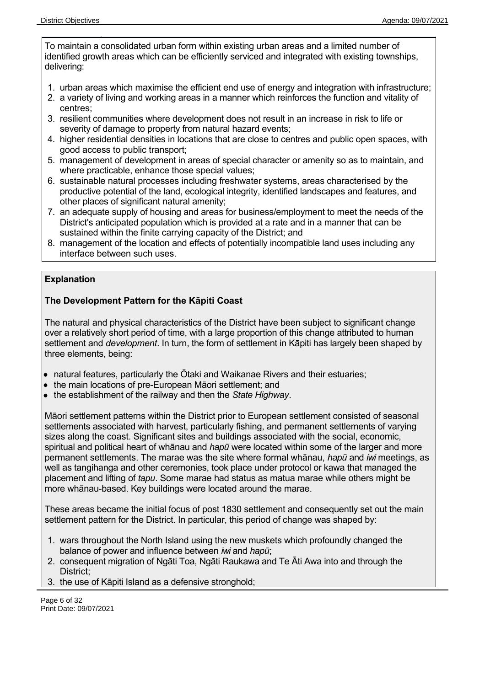To maintain a consolidated urban form within existing urban areas and a limited number of identified growth areas which can be efficiently serviced and integrated with existing townships, delivering:

- 1. urban areas which maximise the efficient end use of energy and integration with infrastructure;
- 2. a variety of living and working areas in a manner which reinforces the function and vitality of centres;
- 3. resilient communities where development does not result in an increase in risk to life or severity of damage to property from natural hazard events;
- 4. higher residential densities in locations that are close to centres and public open spaces, with good access to public transport;
- 5. management of development in areas of special character or amenity so as to maintain, and where practicable, enhance those special values;
- 6. sustainable natural processes including freshwater systems, areas characterised by the productive potential of the land, ecological integrity, identified landscapes and features, and other places of significant natural amenity;
- 7. an adequate supply of housing and areas for business/employment to meet the needs of the District's anticipated population which is provided at a rate and in a manner that can be sustained within the finite carrying capacity of the District; and
- 8. management of the location and effects of potentially incompatible land uses including any interface between such uses.

#### **Explanation**

#### **The Development Pattern for the Kāpiti Coast**

The natural and physical characteristics of the District have been subject to significant change over a relatively short period of time, with a large proportion of this change attributed to human settlement and *development*. In turn, the form of settlement in Kāpiti has largely been shaped by three elements, being:

- natural features, particularly the Ōtaki and Waikanae Rivers and their estuaries;
- the main locations of pre-European Māori settlement; and
- the establishment of the railway and then the *State Highway*.

Māori settlement patterns within the District prior to European settlement consisted of seasonal settlements associated with harvest, particularly fishing, and permanent settlements of varying sizes along the coast. Significant sites and buildings associated with the social, economic, spiritual and political heart of whānau and *hapū* were located within some of the larger and more permanent settlements. The marae was the site where formal whānau, *hapū* and *iwi* meetings, as well as tangihanga and other ceremonies, took place under protocol or kawa that managed the placement and lifting of *tapu*. Some marae had status as matua marae while others might be more whānau-based. Key buildings were located around the marae.

These areas became the initial focus of post 1830 settlement and consequently set out the main settlement pattern for the District. In particular, this period of change was shaped by:

- 1. wars throughout the North Island using the new muskets which profoundly changed the balance of power and influence between *iwi* and *hapū*;
- 2. consequent migration of Ngāti Toa, Ngāti Raukawa and Te Āti Awa into and through the District;
- 3. the use of Kāpiti Island as a defensive stronghold;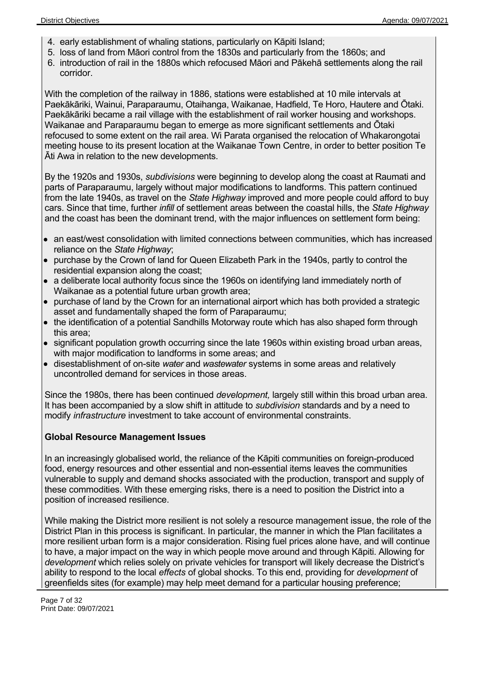- 4. early establishment of whaling stations, particularly on Kāpiti Island;
- 5. loss of land from Māori control from the 1830s and particularly from the 1860s; and
- 6. introduction of rail in the 1880s which refocused Māori and Pākehā settlements along the rail corridor.

With the completion of the railway in 1886, stations were established at 10 mile intervals at Paekākāriki, Wainui, Paraparaumu, Otaihanga, Waikanae, Hadfield, Te Horo, Hautere and Ōtaki. Paekākāriki became a rail village with the establishment of rail worker housing and workshops. Waikanae and Paraparaumu began to emerge as more significant settlements and Ōtaki refocused to some extent on the rail area. Wi Parata organised the relocation of Whakarongotai meeting house to its present location at the Waikanae Town Centre, in order to better position Te Āti Awa in relation to the new developments.

By the 1920s and 1930s, *subdivisions* were beginning to develop along the coast at Raumati and parts of Paraparaumu, largely without major modifications to landforms. This pattern continued from the late 1940s, as travel on the *State Highway* improved and more people could afford to buy cars. Since that time, further *infill* of settlement areas between the coastal hills, the *State Highway* and the coast has been the dominant trend, with the major influences on settlement form being:

- an east/west consolidation with limited connections between communities, which has increased reliance on the *State Highway*;
- purchase by the Crown of land for Queen Elizabeth Park in the 1940s, partly to control the residential expansion along the coast;
- a deliberate local authority focus since the 1960s on identifying land immediately north of Waikanae as a potential future urban growth area;
- purchase of land by the Crown for an international airport which has both provided a strategic asset and fundamentally shaped the form of Paraparaumu;
- the identification of a potential Sandhills Motorway route which has also shaped form through this area;
- significant population growth occurring since the late 1960s within existing broad urban areas, with major modification to landforms in some areas; and
- disestablishment of on-site *water* and *wastewater* systems in some areas and relatively uncontrolled demand for services in those areas.

Since the 1980s, there has been continued *development,* largely still within this broad urban area. It has been accompanied by a slow shift in attitude to *subdivision* standards and by a need to modify *infrastructure* investment to take account of environmental constraints.

#### **Global Resource Management Issues**

In an increasingly globalised world, the reliance of the Kāpiti communities on foreign-produced food, energy resources and other essential and non-essential items leaves the communities vulnerable to supply and demand shocks associated with the production, transport and supply of these commodities. With these emerging risks, there is a need to position the District into a position of increased resilience.

While making the District more resilient is not solely a resource management issue, the role of the District Plan in this process is significant. In particular, the manner in which the Plan facilitates a more resilient urban form is a major consideration. Rising fuel prices alone have, and will continue to have, a major impact on the way in which people move around and through Kāpiti. Allowing for *development* which relies solely on private vehicles for transport will likely decrease the District's ability to respond to the local *effects* of global shocks. To this end, providing for *development* of greenfields sites (for example) may help meet demand for a particular housing preference;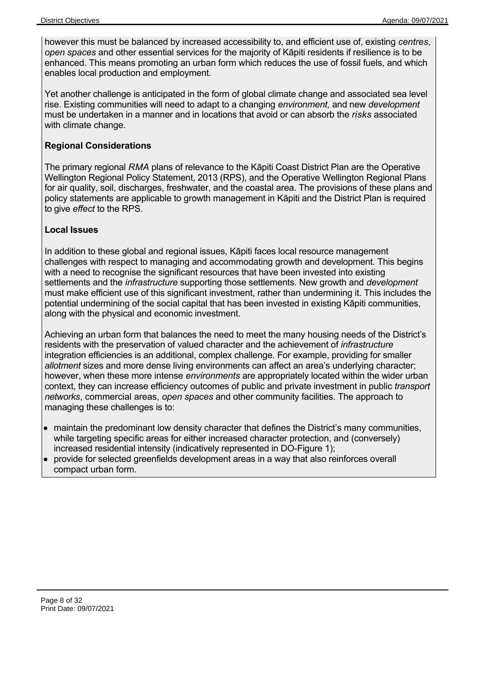however this must be balanced by increased accessibility to, and efficient use of, existing *centres*, *open spaces* and other essential services for the majority of Kāpiti residents if resilience is to be enhanced. This means promoting an urban form which reduces the use of fossil fuels, and which enables local production and employment.

Yet another challenge is anticipated in the form of global climate change and associated sea level rise. Existing communities will need to adapt to a changing *environment,* and new *development* must be undertaken in a manner and in locations that avoid or can absorb the *risks* associated with climate change.

#### **Regional Considerations**

The primary regional *RMA* plans of relevance to the Kāpiti Coast District Plan are the Operative Wellington Regional Policy Statement, 2013 (RPS), and the Operative Wellington Regional Plans for air quality, soil, discharges, freshwater, and the coastal area. The provisions of these plans and policy statements are applicable to growth management in Kāpiti and the District Plan is required to give *effect* to the RPS.

#### **Local Issues**

In addition to these global and regional issues, Kāpiti faces local resource management challenges with respect to managing and accommodating growth and development. This begins with a need to recognise the significant resources that have been invested into existing settlements and the *infrastructure* supporting those settlements. New growth and *development* must make efficient use of this significant investment, rather than undermining it. This includes the potential undermining of the social capital that has been invested in existing Kāpiti communities, along with the physical and economic investment.

Achieving an urban form that balances the need to meet the many housing needs of the District's residents with the preservation of valued character and the achievement of *infrastructure* integration efficiencies is an additional, complex challenge. For example, providing for smaller *allotment* sizes and more dense living environments can affect an area's underlying character; however, when these more intense *environments* are appropriately located within the wider urban context, they can increase efficiency outcomes of public and private investment in public *transport networks*, commercial areas, *open spaces* and other community facilities. The approach to managing these challenges is to:

- maintain the predominant low density character that defines the District's many communities, while targeting specific areas for either increased character protection, and (conversely) increased residential intensity (indicatively represented in DO-Figure 1);
- provide for selected greenfields development areas in a way that also reinforces overall compact urban form.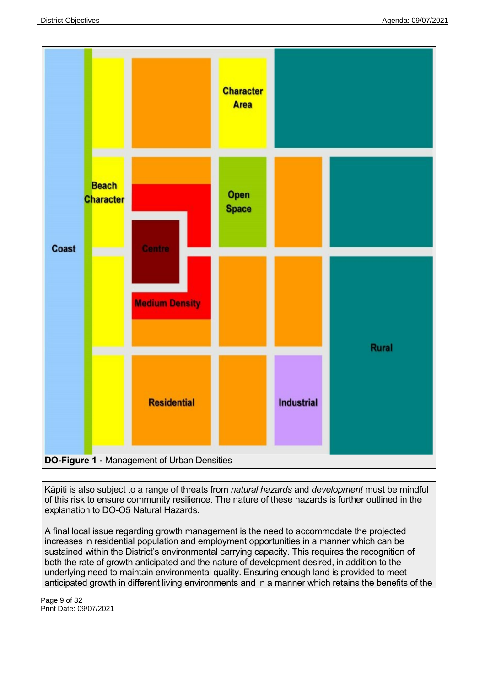

Kāpiti is also subject to a range of threats from *natural hazards* and *development* must be mindful of this risk to ensure community resilience. The nature of these hazards is further outlined in the explanation to DO-O5 Natural Hazards.

A final local issue regarding growth management is the need to accommodate the projected increases in residential population and employment opportunities in a manner which can be sustained within the District's environmental carrying capacity. This requires the recognition of both the rate of growth anticipated and the nature of development desired, in addition to the underlying need to maintain environmental quality. Ensuring enough land is provided to meet anticipated growth in different living environments and in a manner which retains the benefits of the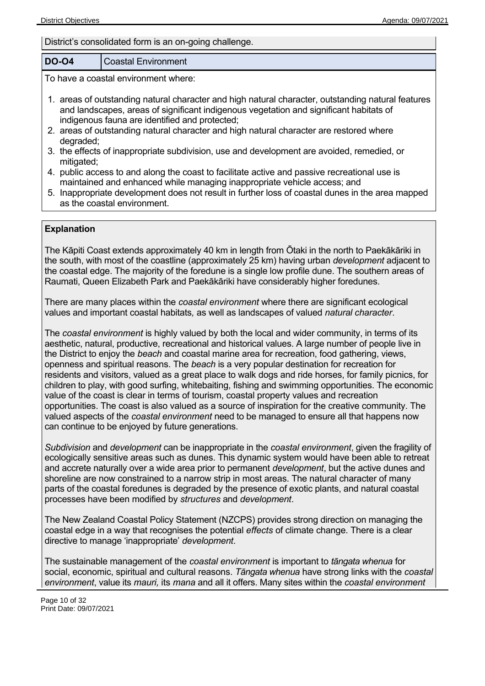#### District's consolidated form is an on-going challenge.

#### **DO-O4** Coastal Environment

To have a coastal environment where:

- 1. areas of outstanding natural character and high natural character, outstanding natural features and landscapes, areas of significant indigenous vegetation and significant habitats of indigenous fauna are identified and protected;
- 2. areas of outstanding natural character and high natural character are restored where degraded;
- 3. the effects of inappropriate subdivision, use and development are avoided, remedied, or mitigated;
- 4. public access to and along the coast to facilitate active and passive recreational use is maintained and enhanced while managing inappropriate vehicle access; and
- 5. Inappropriate development does not result in further loss of coastal dunes in the area mapped as the coastal environment.

#### **Explanation**

The Kāpiti Coast extends approximately 40 km in length from Ōtaki in the north to Paekākāriki in the south, with most of the coastline (approximately 25 km) having urban *development* adjacent to the coastal edge. The majority of the foredune is a single low profile dune. The southern areas of Raumati, Queen Elizabeth Park and Paekākāriki have considerably higher foredunes.

There are many places within the *coastal environment* where there are significant ecological values and important coastal habitats*,* as well as landscapes of valued *natural character*.

The *coastal environment* is highly valued by both the local and wider community, in terms of its aesthetic, natural, productive, recreational and historical values. A large number of people live in the District to enjoy the *beach* and coastal marine area for recreation, food gathering, views, openness and spiritual reasons. The *beach* is a very popular destination for recreation for residents and visitors, valued as a great place to walk dogs and ride horses, for family picnics, for children to play, with good surfing, whitebaiting, fishing and swimming opportunities. The economic value of the coast is clear in terms of tourism, coastal property values and recreation opportunities. The coast is also valued as a source of inspiration for the creative community. The valued aspects of the *coastal environment* need to be managed to ensure all that happens now can continue to be enjoyed by future generations.

*Subdivision* and *development* can be inappropriate in the *coastal environment*, given the fragility of ecologically sensitive areas such as dunes. This dynamic system would have been able to retreat and accrete naturally over a wide area prior to permanent *development*, but the active dunes and shoreline are now constrained to a narrow strip in most areas. The natural character of many parts of the coastal foredunes is degraded by the presence of exotic plants, and natural coastal processes have been modified by *structures* and *development*.

The New Zealand Coastal Policy Statement (NZCPS) provides strong direction on managing the coastal edge in a way that recognises the potential *effects* of climate change. There is a clear directive to manage 'inappropriate' *development*.

The sustainable management of the *coastal environment* is important to *tāngata whenua* for social, economic, spiritual and cultural reasons. *Tāngata whenua* have strong links with the *coastal environment*, value its *mauri,* its *mana* and all it offers. Many sites within the *coastal environment*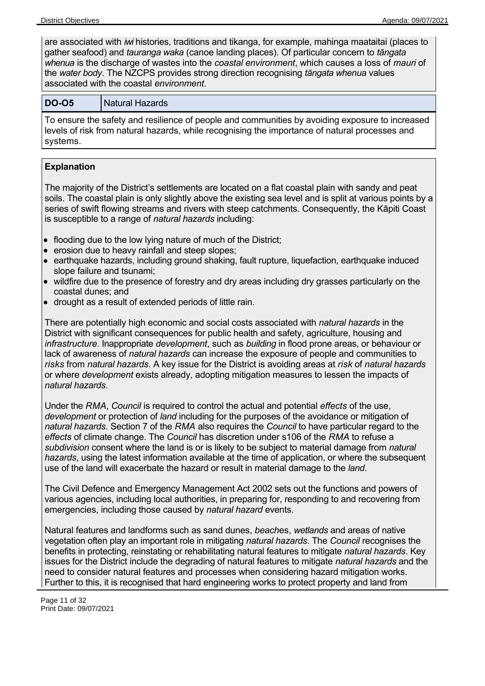are associated with *iwi* histories, traditions and tikanga, for example, mahinga maataitai (places to gather seafood) and *tauranga waka* (canoe landing places). Of particular concern to *tāngata whenua* is the discharge of wastes into the *coastal environment*, which causes a loss of *mauri* of the *water body*. The NZCPS provides strong direction recognising *tāngata whenua* values associated with the coastal *environment*.

#### **DO-O5** Natural Hazards

To ensure the safety and resilience of people and communities by avoiding exposure to increased levels of risk from natural hazards, while recognising the importance of natural processes and systems.

#### **Explanation**

The majority of the District's settlements are located on a flat coastal plain with sandy and peat soils. The coastal plain is only slightly above the existing sea level and is split at various points by a series of swift flowing streams and rivers with steep catchments. Consequently, the Kāpiti Coast is susceptible to a range of *natural hazards* including:

- flooding due to the low lying nature of much of the District;
- erosion due to heavy rainfall and steep slopes;
- earthquake hazards, including ground shaking, fault rupture, liquefaction, earthquake induced slope failure and tsunami;
- wildfire due to the presence of forestry and dry areas including dry grasses particularly on the coastal dunes; and
- drought as a result of extended periods of little rain.

There are potentially high economic and social costs associated with *natural hazards* in the District with significant consequences for public health and safety, agriculture, housing and *infrastructure*. Inappropriate *development*, such as *building* in flood prone areas, or behaviour or lack of awareness of *natural hazards* can increase the exposure of people and communities to *risks* from *natural hazards*. A key issue for the District is avoiding areas at *risk* of *natural hazards* or where *development* exists already, adopting mitigation measures to lessen the impacts of *natural hazards*.

Under the *RMA*, *Council* is required to control the actual and potential *effects* of the use, *development* or protection of *land* including for the purposes of the avoidance or mitigation of *natural hazards*. Section 7 of the *RMA* also requires the *Council* to have particular regard to the *effects* of climate change. The *Council* has discretion under s106 of the *RMA* to refuse a *subdivision* consent where the land is or is likely to be subject to material damage from *natural hazards*, using the latest information available at the time of application, or where the subsequent use of the land will exacerbate the hazard or result in material damage to the *land*.

The Civil Defence and Emergency Management Act 2002 sets out the functions and powers of various agencies, including local authorities, in preparing for, responding to and recovering from emergencies, including those caused by *natural hazard* events.

Natural features and landforms such as sand dunes, *beach*es, *wetlands* and areas of native vegetation often play an important role in mitigating *natural hazards*. The *Council* recognises the benefits in protecting, reinstating or rehabilitating natural features to mitigate *natural hazards*. Key issues for the District include the degrading of natural features to mitigate *natural hazards* and the need to consider natural features and processes when considering hazard mitigation works. Further to this, it is recognised that hard engineering works to protect property and land from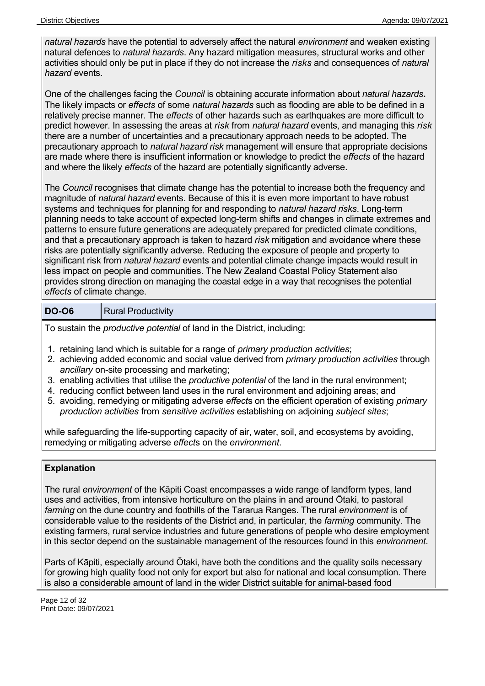*natural hazards* have the potential to adversely affect the natural *environment* and weaken existing natural defences to *natural hazards*. Any hazard mitigation measures, structural works and other activities should only be put in place if they do not increase the *risks* and consequences of *natural hazard* events.

One of the challenges facing the *Council* is obtaining accurate information about *natural hazards***.** The likely impacts or *effects* of some *natural hazards* such as flooding are able to be defined in a relatively precise manner. The *effects* of other hazards such as earthquakes are more difficult to predict however. In assessing the areas at *risk* from *natural hazard* events, and managing this *risk* there are a number of uncertainties and a precautionary approach needs to be adopted. The precautionary approach to *natural hazard risk* management will ensure that appropriate decisions are made where there is insufficient information or knowledge to predict the *effects* of the hazard and where the likely *effects* of the hazard are potentially significantly adverse.

The *Council* recognises that climate change has the potential to increase both the frequency and magnitude of *natural hazard* events. Because of this it is even more important to have robust systems and techniques for planning for and responding to *natural hazard risks*. Long-term planning needs to take account of expected long-term shifts and changes in climate extremes and patterns to ensure future generations are adequately prepared for predicted climate conditions, and that a precautionary approach is taken to hazard *risk* mitigation and avoidance where these risks are potentially significantly adverse. Reducing the exposure of people and property to significant risk from *natural hazard* events and potential climate change impacts would result in less impact on people and communities. The New Zealand Coastal Policy Statement also provides strong direction on managing the coastal edge in a way that recognises the potential *effects* of climate change.

#### **DO-O6** Rural Productivity

To sustain the *productive potential* of land in the District, including:

- 1. retaining land which is suitable for a range of *primary production activities*;
- 2. achieving added economic and social value derived from *primary production activities* through *ancillary* on-site processing and marketing;
- 3. enabling activities that utilise the *productive potential* of the land in the rural environment;
- 4. reducing conflict between land uses in the rural environment and adjoining areas; and
- 5. avoiding, remedying or mitigating adverse *effect*s on the efficient operation of existing *primary production activities* from *sensitive activities* establishing on adjoining *subject sites*;

while safeguarding the life-supporting capacity of air, water, soil, and ecosystems by avoiding, remedying or mitigating adverse *effect*s on the *environment*.

#### **Explanation**

The rural *environment* of the Kāpiti Coast encompasses a wide range of landform types, land uses and activities, from intensive horticulture on the plains in and around Ōtaki, to pastoral *farming* on the dune country and foothills of the Tararua Ranges. The rural *environment* is of considerable value to the residents of the District and, in particular, the *farming* community. The existing farmers, rural service industries and future generations of people who desire employment in this sector depend on the sustainable management of the resources found in this *environment*.

Parts of Kāpiti, especially around Ōtaki, have both the conditions and the quality soils necessary for growing high quality food not only for export but also for national and local consumption. There is also a considerable amount of land in the wider District suitable for animal-based food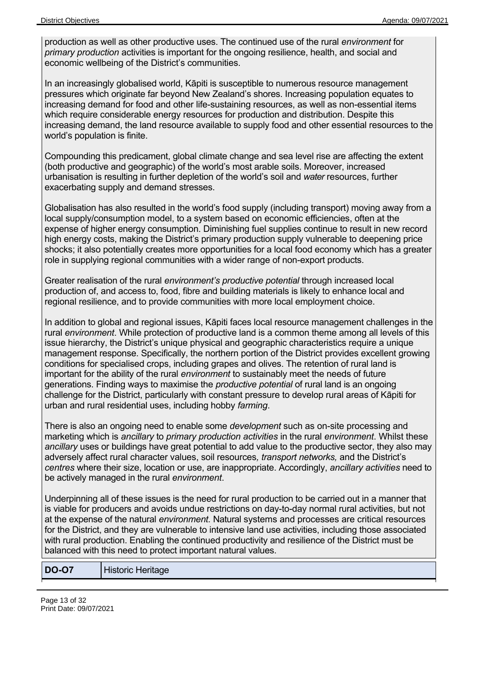production as well as other productive uses. The continued use of the rural *environment* for *primary production* activities is important for the ongoing resilience, health, and social and economic wellbeing of the District's communities.

In an increasingly globalised world, Kāpiti is susceptible to numerous resource management pressures which originate far beyond New Zealand's shores. Increasing population equates to increasing demand for food and other life-sustaining resources, as well as non-essential items which require considerable energy resources for production and distribution. Despite this increasing demand, the land resource available to supply food and other essential resources to the world's population is finite.

Compounding this predicament, global climate change and sea level rise are affecting the extent (both productive and geographic) of the world's most arable soils. Moreover, increased urbanisation is resulting in further depletion of the world's soil and *water* resources, further exacerbating supply and demand stresses.

Globalisation has also resulted in the world's food supply (including transport) moving away from a local supply/consumption model, to a system based on economic efficiencies, often at the expense of higher energy consumption. Diminishing fuel supplies continue to result in new record high energy costs, making the District's primary production supply vulnerable to deepening price shocks; it also potentially creates more opportunities for a local food economy which has a greater role in supplying regional communities with a wider range of non-export products.

Greater realisation of the rural *environment's productive potential* through increased local production of, and access to, food, fibre and building materials is likely to enhance local and regional resilience, and to provide communities with more local employment choice.

In addition to global and regional issues, Kāpiti faces local resource management challenges in the rural *environment*. While protection of productive land is a common theme among all levels of this issue hierarchy, the District's unique physical and geographic characteristics require a unique management response. Specifically, the northern portion of the District provides excellent growing conditions for specialised crops, including grapes and olives. The retention of rural land is important for the ability of the rural *environment* to sustainably meet the needs of future generations. Finding ways to maximise the *productive potential* of rural land is an ongoing challenge for the District, particularly with constant pressure to develop rural areas of Kāpiti for urban and rural residential uses, including hobby *farming*.

There is also an ongoing need to enable some *development* such as on-site processing and marketing which is *ancillary* to *primary production activities* in the rural *environment*. Whilst these *ancillary* uses or buildings have great potential to add value to the productive sector, they also may adversely affect rural character values, soil resources*, transport networks,* and the District's *centres* where their size, location or use, are inappropriate. Accordingly, *ancillary activities* need to be actively managed in the rural *environment*.

Underpinning all of these issues is the need for rural production to be carried out in a manner that is viable for producers and avoids undue restrictions on day-to-day normal rural activities, but not at the expense of the natural *environment.* Natural systems and processes are critical resources for the District, and they are vulnerable to intensive land use activities, including those associated with rural production. Enabling the continued productivity and resilience of the District must be balanced with this need to protect important natural values.

**DO-O7** Historic Heritage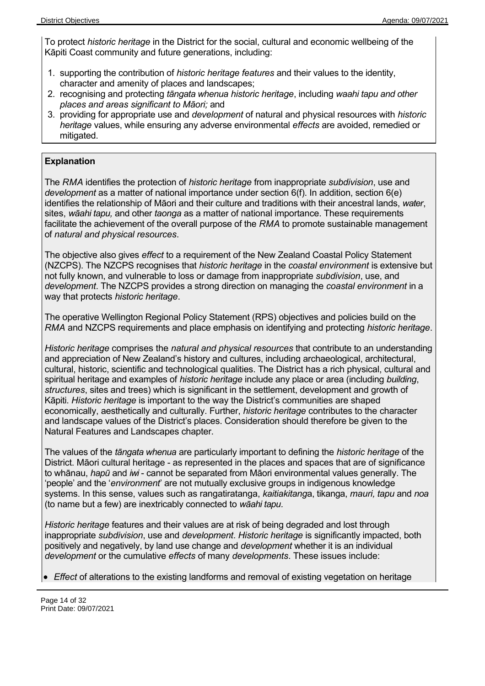To protect *historic heritage* in the District for the social, cultural and economic wellbeing of the Kāpiti Coast community and future generations, including:

- 1. supporting the contribution of *historic heritage features* and their values to the identity, character and amenity of places and landscapes;
- 2. recognising and protecting *tāngata whenua historic heritage*, including *waahi tapu and other places and areas significant to Māori;* and
- 3. providing for appropriate use and *development* of natural and physical resources with *historic heritage* values, while ensuring any adverse environmental *effects* are avoided, remedied or mitigated.

#### **Explanation**

The *RMA* identifies the protection of *historic heritage* from inappropriate *subdivision*, use and *development* as a matter of national importance under section 6(f). In addition, section 6(e) identifies the relationship of Māori and their culture and traditions with their ancestral lands, *water*, sites, *wāahi tapu,* and other *taonga* as a matter of national importance. These requirements facilitate the achievement of the overall purpose of the *RMA* to promote sustainable management of *natural and physical resources*.

The objective also gives *effect* to a requirement of the New Zealand Coastal Policy Statement (NZCPS). The NZCPS recognises that *historic heritage* in the *coastal environment* is extensive but not fully known, and vulnerable to loss or damage from inappropriate *subdivision*, use, and *development*. The NZCPS provides a strong direction on managing the *coastal environment* in a way that protects *historic heritage*.

The operative Wellington Regional Policy Statement (RPS) objectives and policies build on the *RMA* and NZCPS requirements and place emphasis on identifying and protecting *historic heritage*.

*Historic heritage* comprises the *natural and physical resources* that contribute to an understanding and appreciation of New Zealand's history and cultures, including archaeological, architectural, cultural, historic, scientific and technological qualities. The District has a rich physical, cultural and spiritual heritage and examples of *historic heritage* include any place or area (including *building*, *structures*, sites and trees) which is significant in the settlement, development and growth of Kāpiti. *Historic heritage* is important to the way the District's communities are shaped economically, aesthetically and culturally. Further, *historic heritage* contributes to the character and landscape values of the District's places. Consideration should therefore be given to the Natural Features and Landscapes chapter.

The values of the *tāngata whenua* are particularly important to defining the *historic heritage* of the District. Māori cultural heritage - as represented in the places and spaces that are of significance to whānau, *hapū* and *iwi* - cannot be separated from Māori environmental values generally. The 'people' and the '*environment*' are not mutually exclusive groups in indigenous knowledge systems. In this sense, values such as rangatiratanga, *kaitiakitang*a, tikanga, *mauri, tapu* and *noa* (to name but a few) are inextricably connected to *wāahi tapu.*

*Historic heritage* features and their values are at risk of being degraded and lost through inappropriate *subdivision*, use and *development*. *Historic heritage* is significantly impacted, both positively and negatively, by land use change and *development* whether it is an individual *development* or the cumulative *effects* of many *developments*. These issues include:

*Effect* of alterations to the existing landforms and removal of existing vegetation on heritage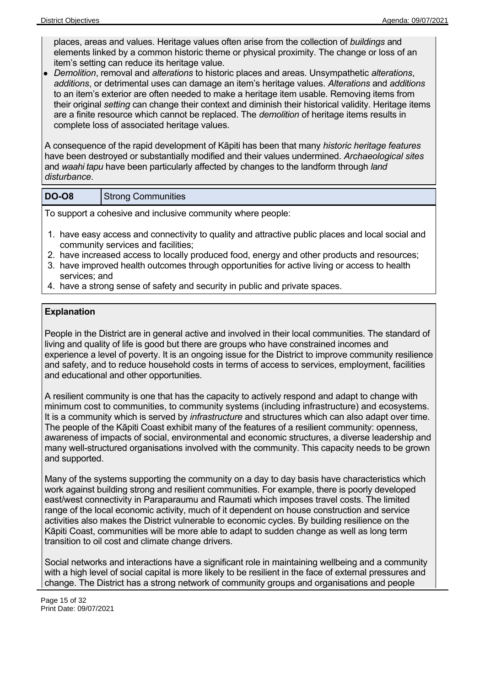places, areas and values. Heritage values often arise from the collection of *buildings* and elements linked by a common historic theme or physical proximity. The change or loss of an item's setting can reduce its heritage value.

*Demolition*, removal and *alterations* to historic places and areas. Unsympathetic *alterations*, *additions*, or detrimental uses can damage an item's heritage values. *Alterations* and *additions* to an item's exterior are often needed to make a heritage item usable. Removing items from their original *setting* can change their context and diminish their historical validity. Heritage items are a finite resource which cannot be replaced. The *demolition* of heritage items results in complete loss of associated heritage values.

A consequence of the rapid development of Kāpiti has been that many *historic heritage features* have been destroyed or substantially modified and their values undermined. *Archaeological sites* and *waahi tapu* have been particularly affected by changes to the landform through *land disturbance*.

| <b>DO-08</b> | <b>Strong Communities</b> |
|--------------|---------------------------|
|--------------|---------------------------|

To support a cohesive and inclusive community where people:

- 1. have easy access and connectivity to quality and attractive public places and local social and community services and facilities;
- 2. have increased access to locally produced food, energy and other products and resources;
- 3. have improved health outcomes through opportunities for active living or access to health services; and
- 4. have a strong sense of safety and security in public and private spaces.

#### **Explanation**

People in the District are in general active and involved in their local communities. The standard of living and quality of life is good but there are groups who have constrained incomes and experience a level of poverty. It is an ongoing issue for the District to improve community resilience and safety, and to reduce household costs in terms of access to services, employment, facilities and educational and other opportunities.

A resilient community is one that has the capacity to actively respond and adapt to change with minimum cost to communities, to community systems (including infrastructure) and ecosystems. It is a community which is served by *infrastructure* and structures which can also adapt over time. The people of the Kāpiti Coast exhibit many of the features of a resilient community: openness, awareness of impacts of social, environmental and economic structures, a diverse leadership and many well-structured organisations involved with the community. This capacity needs to be grown and supported.

Many of the systems supporting the community on a day to day basis have characteristics which work against building strong and resilient communities. For example, there is poorly developed east/west connectivity in Paraparaumu and Raumati which imposes travel costs. The limited range of the local economic activity, much of it dependent on house construction and service activities also makes the District vulnerable to economic cycles. By building resilience on the Kāpiti Coast, communities will be more able to adapt to sudden change as well as long term transition to oil cost and climate change drivers.

Social networks and interactions have a significant role in maintaining wellbeing and a community with a high level of social capital is more likely to be resilient in the face of external pressures and change. The District has a strong network of community groups and organisations and people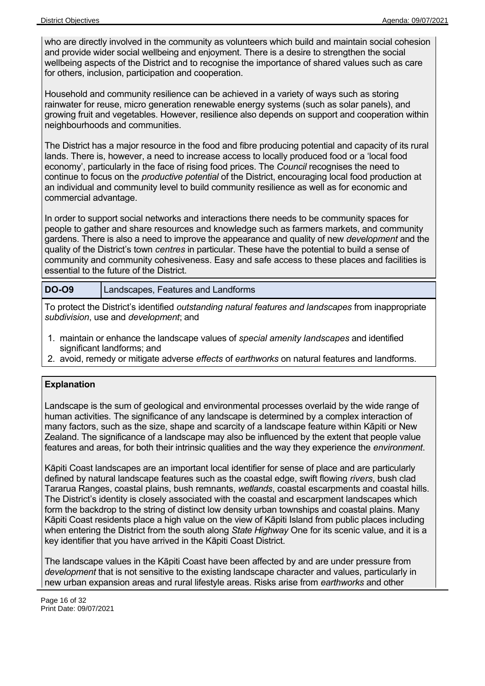who are directly involved in the community as volunteers which build and maintain social cohesion and provide wider social wellbeing and enjoyment. There is a desire to strengthen the social wellbeing aspects of the District and to recognise the importance of shared values such as care for others, inclusion, participation and cooperation.

Household and community resilience can be achieved in a variety of ways such as storing rainwater for reuse, micro generation renewable energy systems (such as solar panels), and growing fruit and vegetables. However, resilience also depends on support and cooperation within neighbourhoods and communities.

The District has a major resource in the food and fibre producing potential and capacity of its rural lands. There is, however, a need to increase access to locally produced food or a 'local food economy', particularly in the face of rising food prices. The *Council* recognises the need to continue to focus on the *productive potential* of the District, encouraging local food production at an individual and community level to build community resilience as well as for economic and commercial advantage.

In order to support social networks and interactions there needs to be community spaces for people to gather and share resources and knowledge such as farmers markets, and community gardens. There is also a need to improve the appearance and quality of new *development* and the quality of the District's town *centres* in particular. These have the potential to build a sense of community and community cohesiveness. Easy and safe access to these places and facilities is essential to the future of the District.

| <b>DO-09</b> | Landscapes, Features and Landforms |
|--------------|------------------------------------|
|--------------|------------------------------------|

To protect the District's identified *outstanding natural features and landscapes* from inappropriate *subdivision*, use and *development*; and

- 1. maintain or enhance the landscape values of *special amenity landscapes* and identified significant landforms; and
- 2. avoid, remedy or mitigate adverse *effects* of *earthworks* on natural features and landforms.

#### **Explanation**

Landscape is the sum of geological and environmental processes overlaid by the wide range of human activities. The significance of any landscape is determined by a complex interaction of many factors, such as the size, shape and scarcity of a landscape feature within Kāpiti or New Zealand. The significance of a landscape may also be influenced by the extent that people value features and areas, for both their intrinsic qualities and the way they experience the *environment*.

Kāpiti Coast landscapes are an important local identifier for sense of place and are particularly defined by natural landscape features such as the coastal edge, swift flowing *rivers*, bush clad Tararua Ranges, coastal plains, bush remnants, *wetlands*, coastal escarpments and coastal hills. The District's identity is closely associated with the coastal and escarpment landscapes which form the backdrop to the string of distinct low density urban townships and coastal plains. Many Kāpiti Coast residents place a high value on the view of Kāpiti Island from public places including when entering the District from the south along *State Highway* One for its scenic value, and it is a key identifier that you have arrived in the Kāpiti Coast District.

The landscape values in the Kāpiti Coast have been affected by and are under pressure from *development* that is not sensitive to the existing landscape character and values, particularly in new urban expansion areas and rural lifestyle areas. Risks arise from *earthworks* and other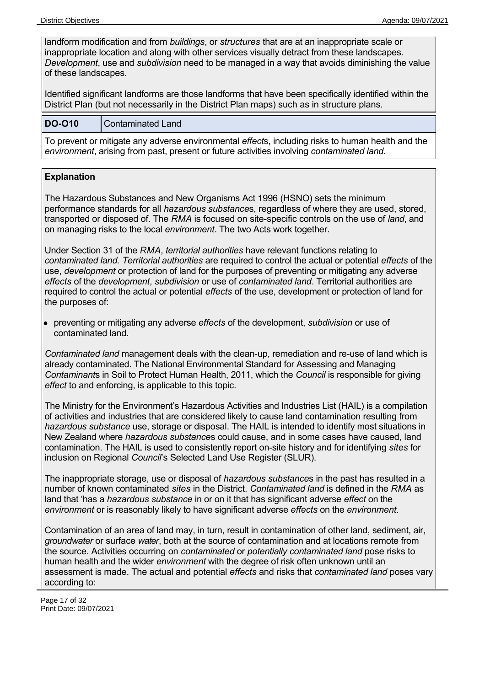landform modification and from *buildings*, or *structures* that are at an inappropriate scale or inappropriate location and along with other services visually detract from these landscapes. *Development*, use and *subdivision* need to be managed in a way that avoids diminishing the value of these landscapes.

Identified significant landforms are those landforms that have been specifically identified within the District Plan (but not necessarily in the District Plan maps) such as in structure plans.

#### **DO-O10** Contaminated Land

To prevent or mitigate any adverse environmental *effect*s, including risks to human health and the *environment*, arising from past, present or future activities involving *contaminated land*.

#### **Explanation**

The Hazardous Substances and New Organisms Act 1996 (HSNO) sets the minimum performance standards for all *hazardous substance*s, regardless of where they are used, stored, transported or disposed of. The *RMA* is focused on site-specific controls on the use of *land*, and on managing risks to the local *environment*. The two Acts work together.

Under Section 31 of the *RMA*, *territorial authorities* have relevant functions relating to *contaminated land. Territorial authorities* are required to control the actual or potential *effects* of the use, *development* or protection of land for the purposes of preventing or mitigating any adverse *effects* of the *development*, *subdivision* or use of *contaminated land*. Territorial authorities are required to control the actual or potential *effects* of the use, development or protection of land for the purposes of:

preventing or mitigating any adverse *effects* of the development, *subdivision* or use of contaminated land.

*Contaminated land* management deals with the clean-up, remediation and re-use of land which is already contaminated. The National Environmental Standard for Assessing and Managing *Contaminant*s in Soil to Protect Human Health, 2011, which the *Council* is responsible for giving *effect* to and enforcing, is applicable to this topic.

The Ministry for the Environment's Hazardous Activities and Industries List (HAIL) is a compilation of activities and industries that are considered likely to cause land contamination resulting from *hazardous substance* use, storage or disposal. The HAIL is intended to identify most situations in New Zealand where *hazardous substance*s could cause, and in some cases have caused, land contamination. The HAIL is used to consistently report on-site history and for identifying *sites* for inclusion on Regional *Council*'s Selected Land Use Register (SLUR).

The inappropriate storage, use or disposal of *hazardous substance*s in the past has resulted in a number of known contaminated *sites* in the District. *Contaminated land* is defined in the *RMA* as land that 'has a *hazardous substance* in or on it that has significant adverse *effect* on the *environment* or is reasonably likely to have significant adverse *effects* on the *environment*.

Contamination of an area of land may, in turn, result in contamination of other land, sediment, air, *groundwater* or surface *water*, both at the source of contamination and at locations remote from the source. Activities occurring on *contaminated* or *potentially contaminated land* pose risks to human health and the wider *environment* with the degree of risk often unknown until an assessment is made. The actual and potential *effects* and risks that *contaminated land* poses vary according to: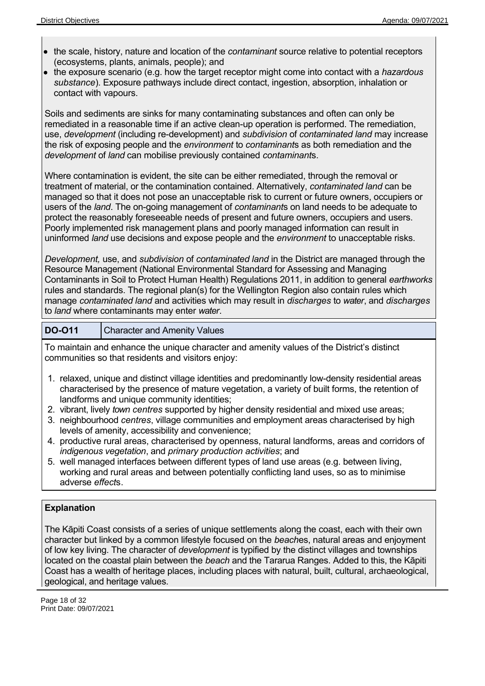- the scale, history, nature and location of the *contaminant* source relative to potential receptors (ecosystems, plants, animals, people); and
- the exposure scenario (e.g. how the target receptor might come into contact with a *hazardous substance*). Exposure pathways include direct contact, ingestion, absorption, inhalation or contact with vapours.

Soils and sediments are sinks for many contaminating substances and often can only be remediated in a reasonable time if an active clean-up operation is performed. The remediation, use, *development* (including re-development) and *subdivision* of *contaminated land* may increase the risk of exposing people and the *environment* to *contaminant*s as both remediation and the *development* of *land* can mobilise previously contained *contaminant*s.

Where contamination is evident, the site can be either remediated, through the removal or treatment of material, or the contamination contained. Alternatively, *contaminated land* can be managed so that it does not pose an unacceptable risk to current or future owners, occupiers or users of the *land*. The on-going management of *contaminant*s on land needs to be adequate to protect the reasonably foreseeable needs of present and future owners, occupiers and users. Poorly implemented risk management plans and poorly managed information can result in uninformed *land* use decisions and expose people and the *environment* to unacceptable risks.

*Development,* use, and *subdivision* of *contaminated land* in the District are managed through the Resource Management (National Environmental Standard for Assessing and Managing Contaminants in Soil to Protect Human Health) Regulations 2011, in addition to general *earthworks* rules and standards. The regional plan(s) for the Wellington Region also contain rules which manage *contaminated land* and activities which may result in *discharges* to *water*, and *discharges* to *land* where contaminants may enter *water*.

#### **DO-O11** Character and Amenity Values

To maintain and enhance the unique character and amenity values of the District's distinct communities so that residents and visitors enjoy:

- 1. relaxed, unique and distinct village identities and predominantly low-density residential areas characterised by the presence of mature vegetation, a variety of built forms, the retention of landforms and unique community identities;
- 2. vibrant, lively *town centres* supported by higher density residential and mixed use areas;
- 3. neighbourhood *centres*, village communities and employment areas characterised by high levels of amenity, accessibility and convenience;
- 4. productive rural areas, characterised by openness, natural landforms, areas and corridors of *indigenous vegetation*, and *primary production activities*; and
- 5. well managed interfaces between different types of land use areas (e.g. between living, working and rural areas and between potentially conflicting land uses, so as to minimise adverse *effect*s.

#### **Explanation**

The Kāpiti Coast consists of a series of unique settlements along the coast, each with their own character but linked by a common lifestyle focused on the *beach*es, natural areas and enjoyment of low key living. The character of *development* is typified by the distinct villages and townships located on the coastal plain between the *beach* and the Tararua Ranges. Added to this, the Kāpiti Coast has a wealth of heritage places, including places with natural, built, cultural, archaeological, geological, and heritage values.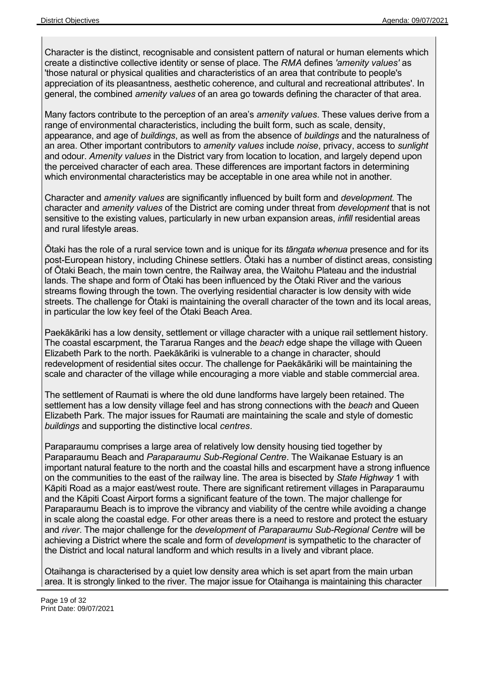Character is the distinct, recognisable and consistent pattern of natural or human elements which create a distinctive collective identity or sense of place. The *RMA* defines *'amenity values'* as 'those natural or physical qualities and characteristics of an area that contribute to people's appreciation of its pleasantness, aesthetic coherence, and cultural and recreational attributes'. In general, the combined *amenity values* of an area go towards defining the character of that area.

Many factors contribute to the perception of an area's *amenity values*. These values derive from a range of environmental characteristics, including the built form, such as scale, density, appearance, and age of *buildings*, as well as from the absence of *buildings* and the naturalness of an area. Other important contributors to *amenity values* include *noise*, privacy, access to *sunlight* and odour. *Amenity values* in the District vary from location to location, and largely depend upon the perceived character of each area. These differences are important factors in determining which environmental characteristics may be acceptable in one area while not in another.

Character and *amenity values* are significantly influenced by built form and *development.* The character and *amenity values* of the District are coming under threat from *development* that is not sensitive to the existing values, particularly in new urban expansion areas, *infill* residential areas and rural lifestyle areas.

Ōtaki has the role of a rural service town and is unique for its *tāngata whenua* presence and for its post-European history, including Chinese settlers. Ōtaki has a number of distinct areas, consisting of Ōtaki Beach, the main town centre, the Railway area, the Waitohu Plateau and the industrial lands. The shape and form of Ōtaki has been influenced by the Ōtaki River and the various streams flowing through the town. The overlying residential character is low density with wide streets. The challenge for Ōtaki is maintaining the overall character of the town and its local areas, in particular the low key feel of the Ōtaki Beach Area.

Paekākāriki has a low density, settlement or village character with a unique rail settlement history. The coastal escarpment, the Tararua Ranges and the *beach* edge shape the village with Queen Elizabeth Park to the north. Paekākāriki is vulnerable to a change in character, should redevelopment of residential sites occur. The challenge for Paekākāriki will be maintaining the scale and character of the village while encouraging a more viable and stable commercial area.

The settlement of Raumati is where the old dune landforms have largely been retained. The settlement has a low density village feel and has strong connections with the *beach* and Queen Elizabeth Park. The major issues for Raumati are maintaining the scale and style of domestic *buildings* and supporting the distinctive local *centres*.

Paraparaumu comprises a large area of relatively low density housing tied together by Paraparaumu Beach and *Paraparaumu Sub-Regional Centre*. The Waikanae Estuary is an important natural feature to the north and the coastal hills and escarpment have a strong influence on the communities to the east of the railway line. The area is bisected by *State Highway* 1 with Kāpiti Road as a major east/west route. There are significant retirement villages in Paraparaumu and the Kāpiti Coast Airport forms a significant feature of the town. The major challenge for Paraparaumu Beach is to improve the vibrancy and viability of the centre while avoiding a change in scale along the coastal edge. For other areas there is a need to restore and protect the estuary and *river*. The major challenge for the *development* of *Paraparaumu Sub-Regional Centre* will be achieving a District where the scale and form of *development* is sympathetic to the character of the District and local natural landform and which results in a lively and vibrant place.

Otaihanga is characterised by a quiet low density area which is set apart from the main urban area. It is strongly linked to the river. The major issue for Otaihanga is maintaining this character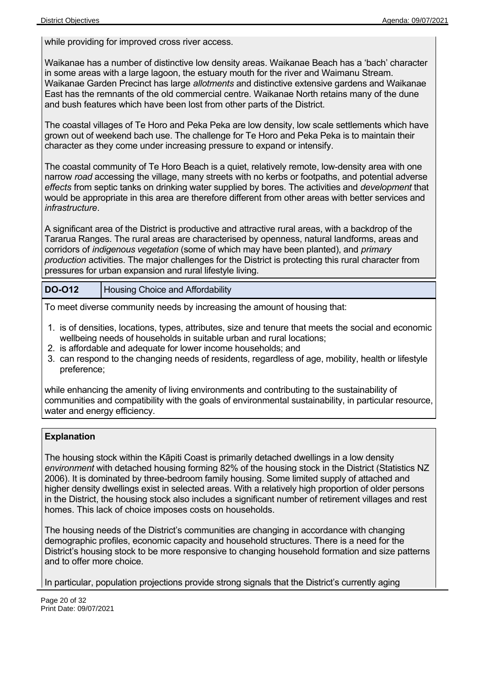while providing for improved cross river access.

Waikanae has a number of distinctive low density areas. Waikanae Beach has a 'bach' character in some areas with a large lagoon, the estuary mouth for the river and Waimanu Stream. Waikanae Garden Precinct has large *allotments* and distinctive extensive gardens and Waikanae East has the remnants of the old commercial centre. Waikanae North retains many of the dune and bush features which have been lost from other parts of the District.

The coastal villages of Te Horo and Peka Peka are low density, low scale settlements which have grown out of weekend bach use. The challenge for Te Horo and Peka Peka is to maintain their character as they come under increasing pressure to expand or intensify.

The coastal community of Te Horo Beach is a quiet, relatively remote, low-density area with one narrow *road* accessing the village, many streets with no kerbs or footpaths, and potential adverse *effects* from septic tanks on drinking water supplied by bores. The activities and *development* that would be appropriate in this area are therefore different from other areas with better services and *infrastructure*.

A significant area of the District is productive and attractive rural areas, with a backdrop of the Tararua Ranges. The rural areas are characterised by openness, natural landforms, areas and corridors of *indigenous vegetation* (some of which may have been planted), and *primary production* activities. The major challenges for the District is protecting this rural character from pressures for urban expansion and rural lifestyle living.

**DO-O12** Housing Choice and Affordability

To meet diverse community needs by increasing the amount of housing that:

- 1. is of densities, locations, types, attributes, size and tenure that meets the social and economic wellbeing needs of households in suitable urban and rural locations;
- 2. is affordable and adequate for lower income households; and
- 3. can respond to the changing needs of residents, regardless of age, mobility, health or lifestyle preference;

while enhancing the amenity of living environments and contributing to the sustainability of communities and compatibility with the goals of environmental sustainability, in particular resource, water and energy efficiency.

#### **Explanation**

The housing stock within the Kāpiti Coast is primarily detached dwellings in a low density *environment* with detached housing forming 82% of the housing stock in the District (Statistics NZ 2006). It is dominated by three-bedroom family housing. Some limited supply of attached and higher density dwellings exist in selected areas. With a relatively high proportion of older persons in the District, the housing stock also includes a significant number of retirement villages and rest homes. This lack of choice imposes costs on households.

The housing needs of the District's communities are changing in accordance with changing demographic profiles, economic capacity and household structures. There is a need for the District's housing stock to be more responsive to changing household formation and size patterns and to offer more choice.

In particular, population projections provide strong signals that the District's currently aging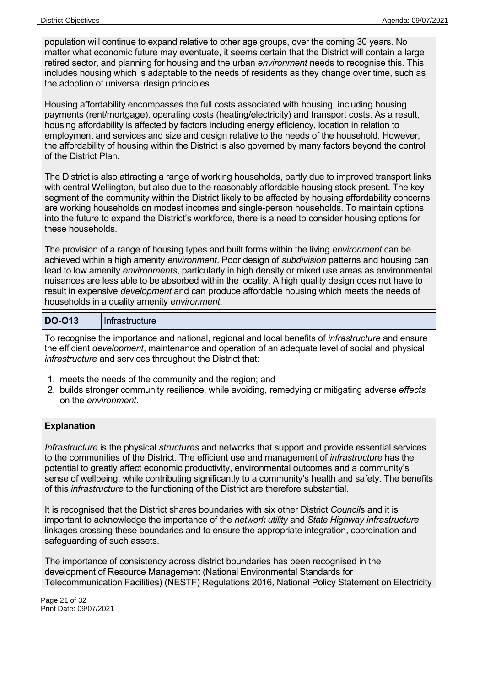population will continue to expand relative to other age groups, over the coming 30 years. No matter what economic future may eventuate, it seems certain that the District will contain a large retired sector, and planning for housing and the urban *environment* needs to recognise this. This includes housing which is adaptable to the needs of residents as they change over time, such as the adoption of universal design principles.

Housing affordability encompasses the full costs associated with housing, including housing payments (rent/mortgage), operating costs (heating/electricity) and transport costs. As a result, housing affordability is affected by factors including energy efficiency, location in relation to employment and services and size and design relative to the needs of the household. However, the affordability of housing within the District is also governed by many factors beyond the control of the District Plan.

The District is also attracting a range of working households, partly due to improved transport links with central Wellington, but also due to the reasonably affordable housing stock present. The key segment of the community within the District likely to be affected by housing affordability concerns are working households on modest incomes and single-person households. To maintain options into the future to expand the District's workforce, there is a need to consider housing options for these households.

The provision of a range of housing types and built forms within the living *environment* can be achieved within a high amenity *environment*. Poor design of *subdivision* patterns and housing can lead to low amenity *environments*, particularly in high density or mixed use areas as environmental nuisances are less able to be absorbed within the locality. A high quality design does not have to result in expensive *development* and can produce affordable housing which meets the needs of households in a quality amenity *environment*.

#### DO-O13 | Infrastructure

To recognise the importance and national, regional and local benefits of *infrastructure* and ensure the efficient *development*, maintenance and operation of an adequate level of social and physical *infrastructure* and services throughout the District that:

- 1. meets the needs of the community and the region; and
- 2. builds stronger community resilience, while avoiding, remedying or mitigating adverse *effects* on the *environment*.

#### **Explanation**

*Infrastructure* is the physical *structures* and networks that support and provide essential services to the communities of the District. The efficient use and management of *infrastructure* has the potential to greatly affect economic productivity, environmental outcomes and a community's sense of wellbeing, while contributing significantly to a community's health and safety. The benefits of this *infrastructure* to the functioning of the District are therefore substantial.

It is recognised that the District shares boundaries with six other District *Council*s and it is important to acknowledge the importance of the *network utility* and *State Highway infrastructure* linkages crossing these boundaries and to ensure the appropriate integration, coordination and safeguarding of such assets.

The importance of consistency across district boundaries has been recognised in the development of Resource Management (National Environmental Standards for Telecommunication Facilities) (NESTF) Regulations 2016, National Policy Statement on Electricity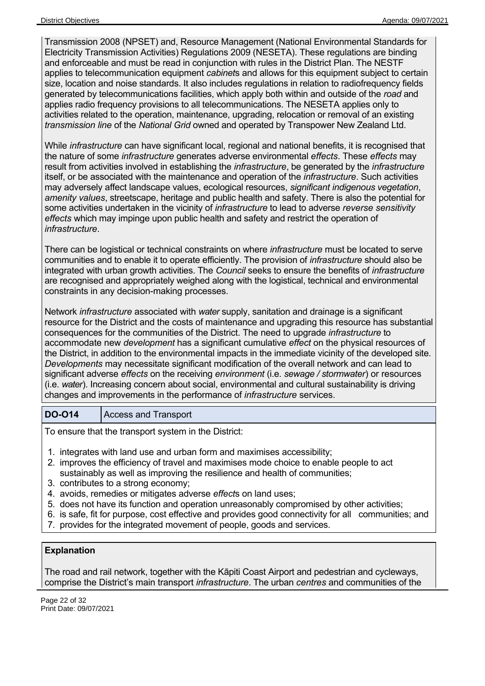Transmission 2008 (NPSET) and, Resource Management (National Environmental Standards for Electricity Transmission Activities) Regulations 2009 (NESETA). These regulations are binding and enforceable and must be read in conjunction with rules in the District Plan. The NESTF applies to telecommunication equipment *cabinet*s and allows for this equipment subject to certain size, location and noise standards. It also includes regulations in relation to radiofrequency fields generated by telecommunications facilities, which apply both within and outside of the *road* and applies radio frequency provisions to all telecommunications. The NESETA applies only to activities related to the operation, maintenance, upgrading, relocation or removal of an existing *transmission line* of the *National Grid* owned and operated by Transpower New Zealand Ltd.

While *infrastructure* can have significant local, regional and national benefits, it is recognised that the nature of some *infrastructure* generates adverse environmental *effects*. These *effects* may result from activities involved in establishing the *infrastructure*, be generated by the *infrastructure* itself, or be associated with the maintenance and operation of the *infrastructure*. Such activities may adversely affect landscape values, ecological resources, *significant indigenous vegetation*, *amenity values*, streetscape, heritage and public health and safety. There is also the potential for some activities undertaken in the vicinity of *infrastructure* to lead to adverse *reverse sensitivity effects* which may impinge upon public health and safety and restrict the operation of *infrastructure*.

There can be logistical or technical constraints on where *infrastructure* must be located to serve communities and to enable it to operate efficiently. The provision of *infrastructure* should also be integrated with urban growth activities. The *Council* seeks to ensure the benefits of *infrastructure* are recognised and appropriately weighed along with the logistical, technical and environmental constraints in any decision-making processes.

Network *infrastructure* associated with *water* supply, sanitation and drainage is a significant resource for the District and the costs of maintenance and upgrading this resource has substantial consequences for the communities of the District. The need to upgrade *infrastructure* to accommodate new *development* has a significant cumulative *effect* on the physical resources of the District, in addition to the environmental impacts in the immediate vicinity of the developed site. *Developments* may necessitate significant modification of the overall network and can lead to significant adverse *effects* on the receiving *environment* (i.e. *sewage / stormwater*) or resources (i.e. *water*). Increasing concern about social, environmental and cultural sustainability is driving changes and improvements in the performance of *infrastructure* services.

#### **DO-O14** Access and Transport

To ensure that the transport system in the District:

- 1. integrates with land use and urban form and maximises accessibility;
- 2. improves the efficiency of travel and maximises mode choice to enable people to act sustainably as well as improving the resilience and health of communities;
- 3. contributes to a strong economy;
- 4. avoids, remedies or mitigates adverse *effect*s on land uses;
- 5. does not have its function and operation unreasonably compromised by other activities;
- 6. is safe, fit for purpose, cost effective and provides good connectivity for all communities; and
- 7. provides for the integrated movement of people, goods and services.

#### **Explanation**

The road and rail network, together with the Kāpiti Coast Airport and pedestrian and cycleways, comprise the District's main transport *infrastructure*. The urban *centres* and communities of the

Page 22 of 32 Print Date: 09/07/2021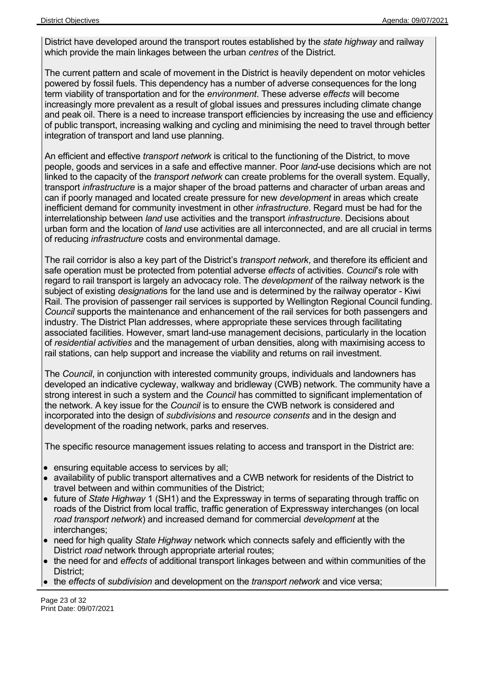District have developed around the transport routes established by the *state highway* and railway which provide the main linkages between the urban *centres* of the District.

The current pattern and scale of movement in the District is heavily dependent on motor vehicles powered by fossil fuels. This dependency has a number of adverse consequences for the long term viability of transportation and for the *environment*. These adverse *effects* will become increasingly more prevalent as a result of global issues and pressures including climate change and peak oil. There is a need to increase transport efficiencies by increasing the use and efficiency of public transport, increasing walking and cycling and minimising the need to travel through better integration of transport and land use planning.

An efficient and effective *transport network* is critical to the functioning of the District, to move people, goods and services in a safe and effective manner. Poor *land*-use decisions which are not linked to the capacity of the *transport network* can create problems for the overall system. Equally, transport *infrastructure* is a major shaper of the broad patterns and character of urban areas and can if poorly managed and located create pressure for new *development* in areas which create inefficient demand for community investment in other *infrastructure*. Regard must be had for the interrelationship between *land* use activities and the transport *infrastructure*. Decisions about urban form and the location of *land* use activities are all interconnected, and are all crucial in terms of reducing *infrastructure* costs and environmental damage.

The rail corridor is also a key part of the District's *transport network*, and therefore its efficient and safe operation must be protected from potential adverse *effects* of activities. *Council*'s role with regard to rail transport is largely an advocacy role. The *development* of the railway network is the subject of existing *designation*s for the land use and is determined by the railway operator - Kiwi Rail. The provision of passenger rail services is supported by Wellington Regional Council funding. *Council* supports the maintenance and enhancement of the rail services for both passengers and industry. The District Plan addresses, where appropriate these services through facilitating associated facilities. However, smart land-use management decisions, particularly in the location of *residential activities* and the management of urban densities, along with maximising access to rail stations, can help support and increase the viability and returns on rail investment.

The *Council*, in conjunction with interested community groups, individuals and landowners has developed an indicative cycleway, walkway and bridleway (CWB) network. The community have a strong interest in such a system and the *Council* has committed to significant implementation of the network. A key issue for the *Council* is to ensure the CWB network is considered and incorporated into the design of *subdivisions* and *resource consents* and in the design and development of the roading network, parks and reserves.

The specific resource management issues relating to access and transport in the District are:

- ensuring equitable access to services by all;
- availability of public transport alternatives and a CWB network for residents of the District to travel between and within communities of the District;
- future of *State Highway* 1 (SH1) and the Expressway in terms of separating through traffic on roads of the District from local traffic, traffic generation of Expressway interchanges (on local *road transport network*) and increased demand for commercial *development* at the interchanges;
- need for high quality *State Highway* network which connects safely and efficiently with the District *road* network through appropriate arterial routes;
- the need for and *effects* of additional transport linkages between and within communities of the District;
- the *effects* of *subdivision* and development on the *transport network* and vice versa;

Page 23 of 32 Print Date: 09/07/2021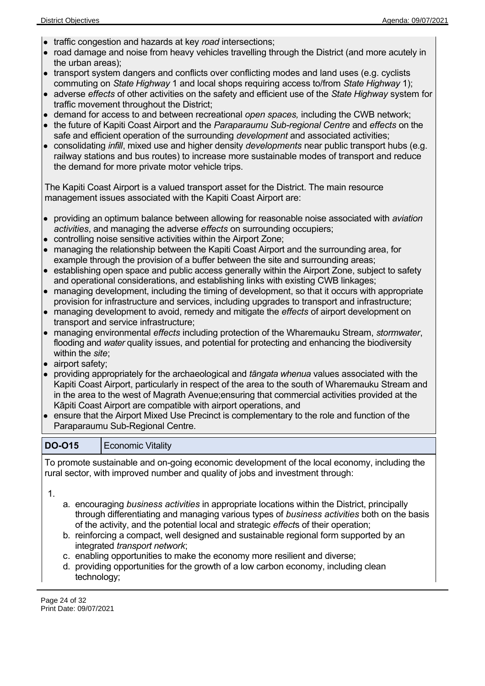- traffic congestion and hazards at key *road* intersections;
- road damage and noise from heavy vehicles travelling through the District (and more acutely in the urban areas);
- transport system dangers and conflicts over conflicting modes and land uses (e.g. cyclists commuting on *State Highway* 1 and local shops requiring access to/from *State Highway* 1);
- adverse *effects* of other activities on the safety and efficient use of the *State Highway* system for traffic movement throughout the District;
- demand for access to and between recreational *open spaces,* including the CWB network;
- the future of Kapiti Coast Airport and the *Paraparaumu Sub-regional Centre* and *effects* on the safe and efficient operation of the surrounding *development* and associated activities;
- consolidating *infill*, mixed use and higher density *developments* near public transport hubs (e.g. railway stations and bus routes) to increase more sustainable modes of transport and reduce the demand for more private motor vehicle trips.

The Kapiti Coast Airport is a valued transport asset for the District. The main resource management issues associated with the Kapiti Coast Airport are:

- providing an optimum balance between allowing for reasonable noise associated with *aviation activities*, and managing the adverse *effects* on surrounding occupiers;
- controlling noise sensitive activities within the Airport Zone;
- managing the relationship between the Kapiti Coast Airport and the surrounding area, for example through the provision of a buffer between the site and surrounding areas;
- establishing open space and public access generally within the Airport Zone, subject to safety and operational considerations, and establishing links with existing CWB linkages;
- managing development, including the timing of development, so that it occurs with appropriate provision for infrastructure and services, including upgrades to transport and infrastructure;
- managing development to avoid, remedy and mitigate the *effects* of airport development on transport and service infrastructure;
- managing environmental *effects* including protection of the Wharemauku Stream, *stormwater*, flooding and *water* quality issues, and potential for protecting and enhancing the biodiversity within the *site*;
- airport safety;
- providing appropriately for the archaeological and *tāngata whenua* values associated with the Kapiti Coast Airport, particularly in respect of the area to the south of Wharemauku Stream and in the area to the west of Magrath Avenue;ensuring that commercial activities provided at the Kāpiti Coast Airport are compatible with airport operations, and
- ensure that the Airport Mixed Use Precinct is complementary to the role and function of the Paraparaumu Sub-Regional Centre.

### **DO-O15** | Economic Vitality

To promote sustainable and on-going economic development of the local economy, including the rural sector, with improved number and quality of jobs and investment through:

1.

- a. encouraging *business activities* in appropriate locations within the District, principally through differentiating and managing various types of *business activities* both on the basis of the activity, and the potential local and strategic *effect*s of their operation;
- b. reinforcing a compact, well designed and sustainable regional form supported by an integrated *transport network*;
- c. enabling opportunities to make the economy more resilient and diverse;
- d. providing opportunities for the growth of a low carbon economy, including clean technology;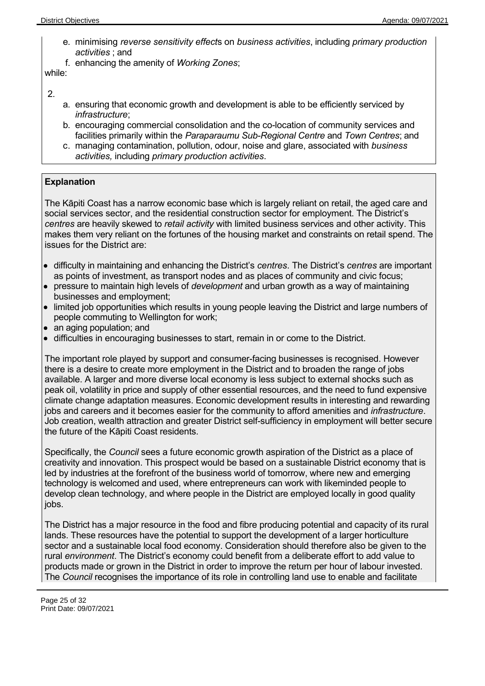- e. minimising *reverse sensitivity effect*s on *business activities*, including *primary production activities* ; and
- f. enhancing the amenity of *Working Zones*;

while:

2.

- a. ensuring that economic growth and development is able to be efficiently serviced by *infrastructure*;
- b. encouraging commercial consolidation and the co-location of community services and facilities primarily within the *Paraparaumu Sub-Regional Centre* and *Town Centres*; and
- c. managing contamination, pollution, odour, noise and glare, associated with *business activities,* including *primary production activities*.

#### **Explanation**

The Kāpiti Coast has a narrow economic base which is largely reliant on retail, the aged care and social services sector, and the residential construction sector for employment. The District's *centres* are heavily skewed to *retail activity* with limited business services and other activity. This makes them very reliant on the fortunes of the housing market and constraints on retail spend. The issues for the District are:

- difficulty in maintaining and enhancing the District's *centres*. The District's *centres* are important as points of investment, as transport nodes and as places of community and civic focus;
- pressure to maintain high levels of *development* and urban growth as a way of maintaining businesses and employment;
- limited job opportunities which results in young people leaving the District and large numbers of people commuting to Wellington for work;
- an aging population; and
- difficulties in encouraging businesses to start, remain in or come to the District.

The important role played by support and consumer-facing businesses is recognised. However there is a desire to create more employment in the District and to broaden the range of jobs available. A larger and more diverse local economy is less subject to external shocks such as peak oil, volatility in price and supply of other essential resources, and the need to fund expensive climate change adaptation measures. Economic development results in interesting and rewarding jobs and careers and it becomes easier for the community to afford amenities and *infrastructure*. Job creation, wealth attraction and greater District self-sufficiency in employment will better secure the future of the Kāpiti Coast residents.

Specifically, the *Council* sees a future economic growth aspiration of the District as a place of creativity and innovation. This prospect would be based on a sustainable District economy that is led by industries at the forefront of the business world of tomorrow, where new and emerging technology is welcomed and used, where entrepreneurs can work with likeminded people to develop clean technology, and where people in the District are employed locally in good quality jobs.

The District has a major resource in the food and fibre producing potential and capacity of its rural lands. These resources have the potential to support the development of a larger horticulture sector and a sustainable local food economy. Consideration should therefore also be given to the rural *environment*. The District's economy could benefit from a deliberate effort to add value to products made or grown in the District in order to improve the return per hour of labour invested. The *Council* recognises the importance of its role in controlling land use to enable and facilitate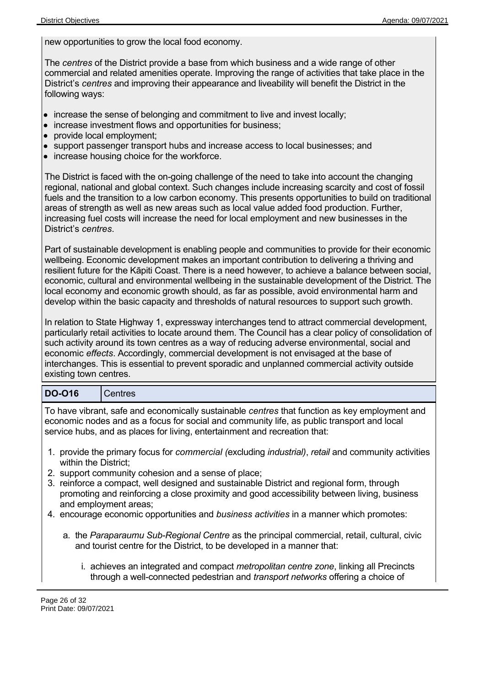new opportunities to grow the local food economy.

The *centres* of the District provide a base from which business and a wide range of other commercial and related amenities operate. Improving the range of activities that take place in the District's *centres* and improving their appearance and liveability will benefit the District in the following ways:

- increase the sense of belonging and commitment to live and invest locally;
- increase investment flows and opportunities for business;
- provide local employment;
- support passenger transport hubs and increase access to local businesses; and
- increase housing choice for the workforce.

The District is faced with the on-going challenge of the need to take into account the changing regional, national and global context. Such changes include increasing scarcity and cost of fossil fuels and the transition to a low carbon economy. This presents opportunities to build on traditional areas of strength as well as new areas such as local value added food production. Further, increasing fuel costs will increase the need for local employment and new businesses in the District's *centres*.

Part of sustainable development is enabling people and communities to provide for their economic wellbeing. Economic development makes an important contribution to delivering a thriving and resilient future for the Kāpiti Coast. There is a need however, to achieve a balance between social, economic, cultural and environmental wellbeing in the sustainable development of the District. The local economy and economic growth should, as far as possible, avoid environmental harm and develop within the basic capacity and thresholds of natural resources to support such growth.

In relation to State Highway 1, expressway interchanges tend to attract commercial development, particularly retail activities to locate around them. The Council has a clear policy of consolidation of such activity around its town centres as a way of reducing adverse environmental, social and economic *effects*. Accordingly, commercial development is not envisaged at the base of interchanges. This is essential to prevent sporadic and unplanned commercial activity outside existing town centres.

#### **DO-O16** Centres

To have vibrant, safe and economically sustainable *centres* that function as key employment and economic nodes and as a focus for social and community life, as public transport and local service hubs, and as places for living, entertainment and recreation that:

- 1. provide the primary focus for *commercial (*excluding *industrial)*, *retail* and community activities within the District;
- 2. support community cohesion and a sense of place;
- 3. reinforce a compact, well designed and sustainable District and regional form, through promoting and reinforcing a close proximity and good accessibility between living, business and employment areas;
- 4. encourage economic opportunities and *business activities* in a manner which promotes:
	- a. the *Paraparaumu Sub-Regional Centre* as the principal commercial, retail, cultural, civic and tourist centre for the District, to be developed in a manner that:
		- i. achieves an integrated and compact *metropolitan centre zone*, linking all Precincts through a well-connected pedestrian and *transport networks* offering a choice of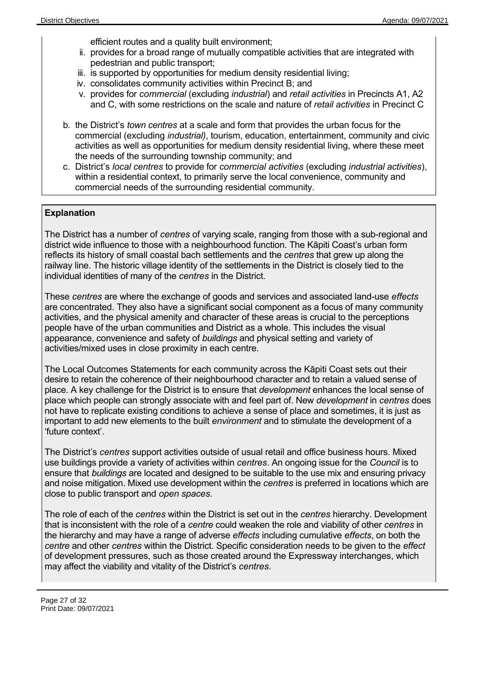efficient routes and a quality built environment;

- ii. provides for a broad range of mutually compatible activities that are integrated with pedestrian and public transport;
- iii. is supported by opportunities for medium density residential living;
- iv. consolidates community activities within Precinct B; and
- v. provides for *commercial* (excluding *industrial*) and *retail activities* in Precincts A1, A2 and C, with some restrictions on the scale and nature of *retail activities* in Precinct C
- b. the District's *town centres* at a scale and form that provides the urban focus for the commercial (excluding *industrial)*, tourism, education, entertainment, community and civic activities as well as opportunities for medium density residential living, where these meet the needs of the surrounding township community; and
- c. District's *local centres* to provide for *commercial activities* (excluding *industrial activities*), within a residential context, to primarily serve the local convenience, community and commercial needs of the surrounding residential community.

#### **Explanation**

The District has a number of *centres* of varying scale, ranging from those with a sub-regional and district wide influence to those with a neighbourhood function. The Kāpiti Coast's urban form reflects its history of small coastal bach settlements and the *centres* that grew up along the railway line. The historic village identity of the settlements in the District is closely tied to the individual identities of many of the *centres* in the District.

These *centres* are where the exchange of goods and services and associated land-use *effects* are concentrated. They also have a significant social component as a focus of many community activities, and the physical amenity and character of these areas is crucial to the perceptions people have of the urban communities and District as a whole. This includes the visual appearance, convenience and safety of *buildings* and physical setting and variety of activities/mixed uses in close proximity in each centre.

The Local Outcomes Statements for each community across the Kāpiti Coast sets out their desire to retain the coherence of their neighbourhood character and to retain a valued sense of place. A key challenge for the District is to ensure that *development* enhances the local sense of place which people can strongly associate with and feel part of. New *development* in *centres* does not have to replicate existing conditions to achieve a sense of place and sometimes, it is just as important to add new elements to the built *environment* and to stimulate the development of a 'future context'.

The District's *centres* support activities outside of usual retail and office business hours. Mixed use buildings provide a variety of activities within *centres*. An ongoing issue for the *Council* is to ensure that *buildings* are located and designed to be suitable to the use mix and ensuring privacy and noise mitigation. Mixed use development within the *centres* is preferred in locations which are close to public transport and *open spaces.*

The role of each of the *centres* within the District is set out in the *centres* hierarchy. Development that is inconsistent with the role of a *centre* could weaken the role and viability of other *centres* in the hierarchy and may have a range of adverse *effects* including cumulative *effects*, on both the *centre* and other *centres* within the District. Specific consideration needs to be given to the *effect* of development pressures, such as those created around the Expressway interchanges, which may affect the viability and vitality of the District's *centres*.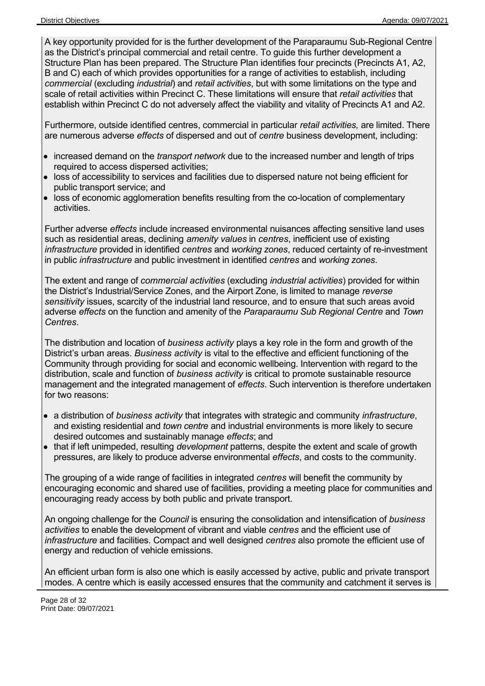A key opportunity provided for is the further development of the Paraparaumu Sub-Regional Centre as the District's principal commercial and retail centre. To guide this further development a Structure Plan has been prepared. The Structure Plan identifies four precincts (Precincts A1, A2, B and C) each of which provides opportunities for a range of activities to establish, including *commercial* (excluding *industrial*) and *retail activities*, but with some limitations on the type and scale of retail activities within Precinct C. These limitations will ensure that *retail activities* that establish within Precinct C do not adversely affect the viability and vitality of Precincts A1 and A2.

Furthermore, outside identified centres, commercial in particular *retail activities,* are limited. There are numerous adverse *effects* of dispersed and out of *centre* business development, including:

- increased demand on the *transport network* due to the increased number and length of trips required to access dispersed activities;
- loss of accessibility to services and facilities due to dispersed nature not being efficient for public transport service; and
- loss of economic agglomeration benefits resulting from the co-location of complementary activities.

Further adverse *effects* include increased environmental nuisances affecting sensitive land uses such as residential areas, declining *amenity values* in *centres*, inefficient use of existing *infrastructure* provided in identified *centres* and *working zones*, reduced certainty of re-investment in public *infrastructure* and public investment in identified *centres* and *working zones*.

The extent and range of *commercial activities* (excluding *industrial activities*) provided for within the District's Industrial/Service Zones, and the Airport Zone, is limited to manage *reverse sensitivity* issues, scarcity of the industrial land resource, and to ensure that such areas avoid adverse *effects* on the function and amenity of the *Paraparaumu Sub Regional Centre* and *Town Centres*.

The distribution and location of *business activity* plays a key role in the form and growth of the District's urban areas. *Business activity* is vital to the effective and efficient functioning of the Community through providing for social and economic wellbeing. Intervention with regard to the distribution, scale and function of *business activity* is critical to promote sustainable resource management and the integrated management of *effects*. Such intervention is therefore undertaken for two reasons:

- a distribution of *business activity* that integrates with strategic and community *infrastructure*, and existing residential and *town centre* and industrial environments is more likely to secure desired outcomes and sustainably manage *effects*; and
- that if left unimpeded, resulting *development* patterns, despite the extent and scale of growth pressures, are likely to produce adverse environmental *effects*, and costs to the community.

The grouping of a wide range of facilities in integrated *centres* will benefit the community by encouraging economic and shared use of facilities, providing a meeting place for communities and encouraging ready access by both public and private transport.

An ongoing challenge for the *Council* is ensuring the consolidation and intensification of *business activities* to enable the development of vibrant and viable *centres* and the efficient use of *infrastructure* and facilities. Compact and well designed *centres* also promote the efficient use of energy and reduction of vehicle emissions.

An efficient urban form is also one which is easily accessed by active, public and private transport modes. A centre which is easily accessed ensures that the community and catchment it serves is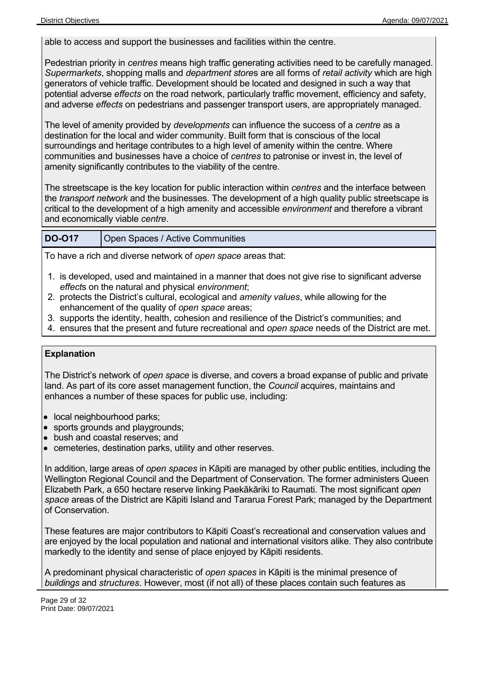able to access and support the businesses and facilities within the centre.

Pedestrian priority in *centres* means high traffic generating activities need to be carefully managed. *Supermarkets*, shopping malls and *department store*s are all forms of *retail activity* which are high generators of vehicle traffic. Development should be located and designed in such a way that potential adverse *effects* on the road network, particularly traffic movement, efficiency and safety, and adverse *effects* on pedestrians and passenger transport users, are appropriately managed.

The level of amenity provided by *developments* can influence the success of a *centre* as a destination for the local and wider community. Built form that is conscious of the local surroundings and heritage contributes to a high level of amenity within the centre. Where communities and businesses have a choice of *centres* to patronise or invest in, the level of amenity significantly contributes to the viability of the centre.

The streetscape is the key location for public interaction within *centres* and the interface between the *transport network* and the businesses. The development of a high quality public streetscape is critical to the development of a high amenity and accessible *environment* and therefore a vibrant and economically viable *centre*.

#### **DO-O17** Open Spaces / Active Communities

To have a rich and diverse network of *open space* areas that:

- 1. is developed, used and maintained in a manner that does not give rise to significant adverse *effect*s on the natural and physical *environment*;
- 2. protects the District's cultural, ecological and *amenity values*, while allowing for the enhancement of the quality of *open space* areas;
- 3. supports the identity, health, cohesion and resilience of the District's communities; and
- 4. ensures that the present and future recreational and *open space* needs of the District are met.

#### **Explanation**

The District's network of *open space* is diverse, and covers a broad expanse of public and private land. As part of its core asset management function, the *Council* acquires, maintains and enhances a number of these spaces for public use, including:

- local neighbourhood parks;
- sports grounds and playgrounds;
- bush and coastal reserves; and
- cemeteries, destination parks, utility and other reserves.

In addition, large areas of *open spaces* in Kāpiti are managed by other public entities, including the Wellington Regional Council and the Department of Conservation. The former administers Queen Elizabeth Park, a 650 hectare reserve linking Paekākāriki to Raumati. The most significant *open space* areas of the District are Kāpiti Island and Tararua Forest Park; managed by the Department of Conservation.

These features are major contributors to Kāpiti Coast's recreational and conservation values and are enjoyed by the local population and national and international visitors alike. They also contribute markedly to the identity and sense of place enjoyed by Kāpiti residents.

A predominant physical characteristic of *open spaces* in Kāpiti is the minimal presence of *buildings* and *structures*. However, most (if not all) of these places contain such features as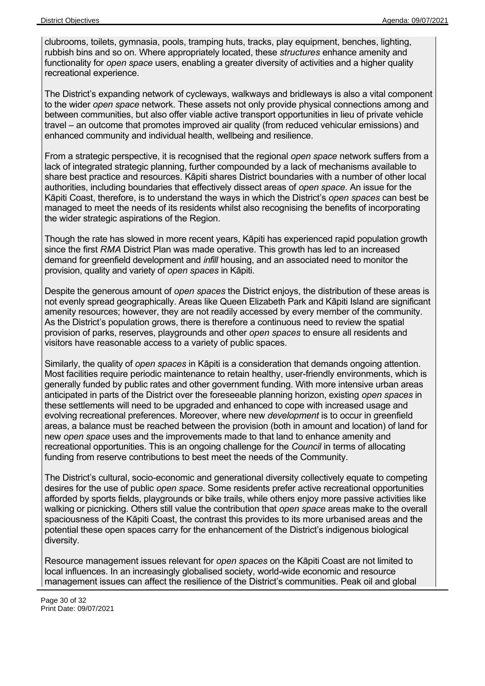clubrooms, toilets, gymnasia, pools, tramping huts, tracks, play equipment, benches, lighting, rubbish bins and so on. Where appropriately located, these *structures* enhance amenity and functionality for *open space* users, enabling a greater diversity of activities and a higher quality recreational experience.

The District's expanding network of cycleways, walkways and bridleways is also a vital component to the wider *open space* network. These assets not only provide physical connections among and between communities, but also offer viable active transport opportunities in lieu of private vehicle travel – an outcome that promotes improved air quality (from reduced vehicular emissions) and enhanced community and individual health, wellbeing and resilience.

From a strategic perspective, it is recognised that the regional *open space* network suffers from a lack of integrated strategic planning, further compounded by a lack of mechanisms available to share best practice and resources. Kāpiti shares District boundaries with a number of other local authorities, including boundaries that effectively dissect areas of *open space*. An issue for the Kāpiti Coast, therefore, is to understand the ways in which the District's *open spaces* can best be managed to meet the needs of its residents whilst also recognising the benefits of incorporating the wider strategic aspirations of the Region.

Though the rate has slowed in more recent years, Kāpiti has experienced rapid population growth since the first *RMA* District Plan was made operative. This growth has led to an increased demand for greenfield development and *infill* housing, and an associated need to monitor the provision, quality and variety of *open spaces* in Kāpiti.

Despite the generous amount of *open spaces* the District enjoys, the distribution of these areas is not evenly spread geographically. Areas like Queen Elizabeth Park and Kāpiti Island are significant amenity resources; however, they are not readily accessed by every member of the community. As the District's population grows, there is therefore a continuous need to review the spatial provision of parks, reserves, playgrounds and other *open spaces* to ensure all residents and visitors have reasonable access to a variety of public spaces.

Similarly, the quality of *open spaces* in Kāpiti is a consideration that demands ongoing attention. Most facilities require periodic maintenance to retain healthy, user-friendly environments, which is generally funded by public rates and other government funding. With more intensive urban areas anticipated in parts of the District over the foreseeable planning horizon, existing *open spaces* in these settlements will need to be upgraded and enhanced to cope with increased usage and evolving recreational preferences. Moreover, where new *development* is to occur in greenfield areas, a balance must be reached between the provision (both in amount and location) of land for new *open space* uses and the improvements made to that land to enhance amenity and recreational opportunities. This is an ongoing challenge for the *Council* in terms of allocating funding from reserve contributions to best meet the needs of the Community.

The District's cultural, socio-economic and generational diversity collectively equate to competing desires for the use of public *open space*. Some residents prefer active recreational opportunities afforded by sports fields, playgrounds or bike trails, while others enjoy more passive activities like walking or picnicking. Others still value the contribution that *open space* areas make to the overall spaciousness of the Kāpiti Coast, the contrast this provides to its more urbanised areas and the potential these open spaces carry for the enhancement of the District's indigenous biological diversity.

Resource management issues relevant for *open spaces* on the Kāpiti Coast are not limited to local influences. In an increasingly globalised society, world-wide economic and resource management issues can affect the resilience of the District's communities. Peak oil and global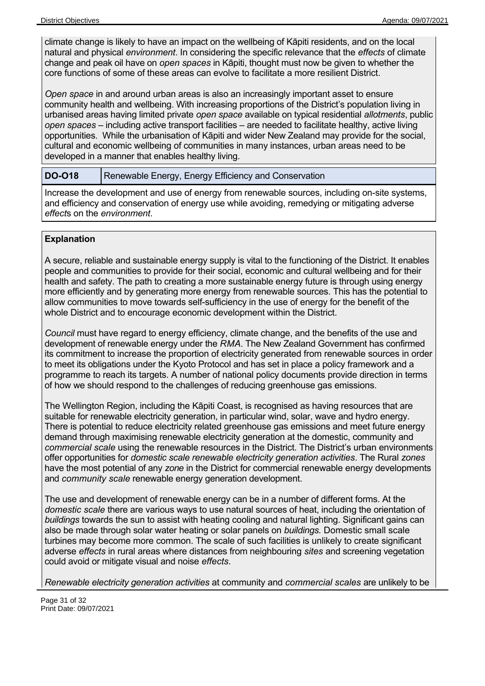climate change is likely to have an impact on the wellbeing of Kāpiti residents, and on the local natural and physical *environment*. In considering the specific relevance that the *effects* of climate change and peak oil have on *open spaces* in Kāpiti, thought must now be given to whether the core functions of some of these areas can evolve to facilitate a more resilient District.

*Open space* in and around urban areas is also an increasingly important asset to ensure community health and wellbeing. With increasing proportions of the District's population living in urbanised areas having limited private *open space* available on typical residential *allotments*, public *open spaces* – including active transport facilities – are needed to facilitate healthy, active living opportunities. While the urbanisation of Kāpiti and wider New Zealand may provide for the social, cultural and economic wellbeing of communities in many instances, urban areas need to be developed in a manner that enables healthy living.

#### **DO-O18** Renewable Energy, Energy Efficiency and Conservation

Increase the development and use of energy from renewable sources, including on-site systems, and efficiency and conservation of energy use while avoiding, remedying or mitigating adverse *effect*s on the *environment*.

#### **Explanation**

A secure, reliable and sustainable energy supply is vital to the functioning of the District. It enables people and communities to provide for their social, economic and cultural wellbeing and for their health and safety. The path to creating a more sustainable energy future is through using energy more efficiently and by generating more energy from renewable sources. This has the potential to allow communities to move towards self-sufficiency in the use of energy for the benefit of the whole District and to encourage economic development within the District.

*Council* must have regard to energy efficiency, climate change, and the benefits of the use and development of renewable energy under the *RMA*. The New Zealand Government has confirmed its commitment to increase the proportion of electricity generated from renewable sources in order to meet its obligations under the Kyoto Protocol and has set in place a policy framework and a programme to reach its targets. A number of national policy documents provide direction in terms of how we should respond to the challenges of reducing greenhouse gas emissions.

The Wellington Region, including the Kāpiti Coast, is recognised as having resources that are suitable for renewable electricity generation, in particular wind, solar, wave and hydro energy. There is potential to reduce electricity related greenhouse gas emissions and meet future energy demand through maximising renewable electricity generation at the domestic, community and *commercial scale* using the renewable resources in the District. The District's urban environments offer opportunities for *domestic scale renewable electricity generation activities*. The Rural *zones* have the most potential of any *zone* in the District for commercial renewable energy developments and *community scale* renewable energy generation development.

The use and development of renewable energy can be in a number of different forms. At the *domestic scale* there are various ways to use natural sources of heat, including the orientation of *buildings* towards the sun to assist with heating cooling and natural lighting. Significant gains can also be made through solar water heating or solar panels on *buildings.* Domestic small scale turbines may become more common. The scale of such facilities is unlikely to create significant adverse *effects* in rural areas where distances from neighbouring *sites* and screening vegetation could avoid or mitigate visual and noise *effects*.

*Renewable electricity generation activities* at community and *commercial scales* are unlikely to be